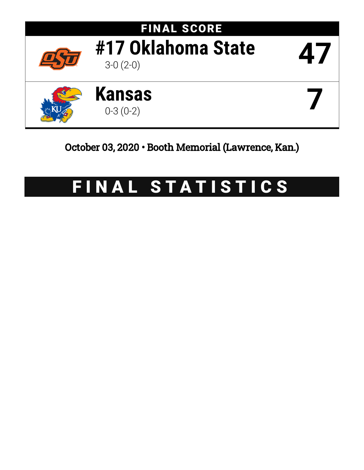

# October 03, 2020 • Booth Memorial (Lawrence, Kan.)

# FINAL STATISTICS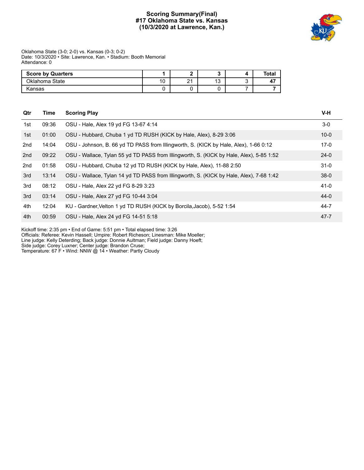# **Scoring Summary(Final) #17 Oklahoma State vs. Kansas (10/3/2020 at Lawrence, Kan.)**



Oklahoma State (3-0; 2-0) vs. Kansas (0-3; 0-2) Date: 10/3/2020 • Site: Lawrence, Kan. • Stadium: Booth Memorial Attendance: 0

| <b>Score by Quarters</b> |                      |               |                        | Total   |
|--------------------------|----------------------|---------------|------------------------|---------|
| Oklahoma State           | $\overline{ }$<br>טו | ິ<br><u>.</u> | $\overline{10}$<br>ט ו | 4<br>٠. |
| Kansas                   |                      |               |                        |         |

| Qtr | Time  | <b>Scoring Play</b>                                                                     | $V-H$    |
|-----|-------|-----------------------------------------------------------------------------------------|----------|
| 1st | 09:36 | OSU - Hale, Alex 19 yd FG 13-67 4:14                                                    | $3-0$    |
| 1st | 01:00 | OSU - Hubbard, Chuba 1 yd TD RUSH (KICK by Hale, Alex), 8-29 3:06                       | $10 - 0$ |
| 2nd | 14:04 | OSU - Johnson, B. 66 yd TD PASS from Illingworth, S. (KICK by Hale, Alex), 1-66 0:12    | $17-0$   |
| 2nd | 09:22 | OSU - Wallace, Tylan 55 yd TD PASS from Illingworth, S. (KICK by Hale, Alex), 5-85 1:52 | $24-0$   |
| 2nd | 01:58 | OSU - Hubbard, Chuba 12 yd TD RUSH (KICK by Hale, Alex), 11-88 2:50                     | $31 - 0$ |
| 3rd | 13:14 | OSU - Wallace, Tylan 14 yd TD PASS from Illingworth, S. (KICK by Hale, Alex), 7-68 1:42 | $38-0$   |
| 3rd | 08:12 | OSU - Hale, Alex 22 yd FG 8-29 3:23                                                     | 41-0     |
| 3rd | 03:14 | OSU - Hale, Alex 27 yd FG 10-44 3:04                                                    | $44-0$   |
| 4th | 12:04 | KU - Gardner, Velton 1 yd TD RUSH (KICK by Borcila, Jacob), 5-52 1:54                   | 44-7     |
| 4th | 00:59 | OSU - Hale, Alex 24 yd FG 14-51 5:18                                                    | $47 - 7$ |

Kickoff time: 2:35 pm • End of Game: 5:51 pm • Total elapsed time: 3:26

Officials: Referee: Kevin Hassell; Umpire: Robert Richeson; Linesman: Mike Moeller;

Line judge: Kelly Deterding; Back judge: Donnie Aultman; Field judge: Danny Hoeft;

Side judge: Corey Luxner; Center judge: Brandon Cruse;

Temperature: 67 F • Wind: NNW @ 14 • Weather: Partly Cloudy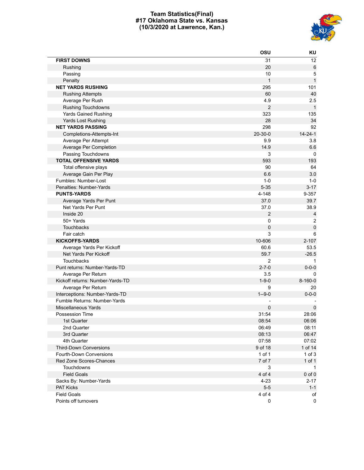# **Team Statistics(Final) #17 Oklahoma State vs. Kansas (10/3/2020 at Lawrence, Kan.)**



|                                  | OSU              | KU             |
|----------------------------------|------------------|----------------|
| <b>FIRST DOWNS</b>               | 31               | 12             |
| Rushing                          | 20               | $\,6$          |
| Passing                          | 10               | 5              |
| Penalty                          | $\mathbf{1}$     | $\mathbf{1}$   |
| <b>NET YARDS RUSHING</b>         | 295              | 101            |
| <b>Rushing Attempts</b>          | 60               | 40             |
| Average Per Rush                 | 4.9              | 2.5            |
| Rushing Touchdowns               | $\boldsymbol{2}$ | $\mathbf{1}$   |
| <b>Yards Gained Rushing</b>      | 323              | 135            |
| Yards Lost Rushing               | 28               | 34             |
| <b>NET YARDS PASSING</b>         | 298              | 92             |
| Completions-Attempts-Int         | 20-30-0          | $14 - 24 - 1$  |
| Average Per Attempt              | 9.9              | 3.8            |
| Average Per Completion           | 14.9             | 6.6            |
| Passing Touchdowns               | 3                | 0              |
| <b>TOTAL OFFENSIVE YARDS</b>     | 593              | 193            |
| Total offensive plays            | 90               | 64             |
| Average Gain Per Play            | 6.6              | 3.0            |
| Fumbles: Number-Lost             | $1 - 0$          | $1 - 0$        |
| Penalties: Number-Yards          | $5 - 35$         | $3 - 17$       |
| <b>PUNTS-YARDS</b>               | 4-148            | 9-357          |
| Average Yards Per Punt           | 37.0             | 39.7           |
| Net Yards Per Punt               | 37.0             | 38.9           |
| Inside 20                        | $\overline{2}$   | $\overline{4}$ |
| 50+ Yards                        | 0                | $\overline{2}$ |
| <b>Touchbacks</b>                | 0                | $\pmb{0}$      |
| Fair catch                       | 3                | 6              |
| <b>KICKOFFS-YARDS</b>            | 10-606           | $2 - 107$      |
| Average Yards Per Kickoff        | 60.6             | 53.5           |
| Net Yards Per Kickoff            | 59.7             | $-26.5$        |
| <b>Touchbacks</b>                | $\overline{2}$   | -1             |
| Punt returns: Number-Yards-TD    | $2 - 7 - 0$      | $0 - 0 - 0$    |
| Average Per Return               | 3.5              | $\Omega$       |
| Kickoff returns: Number-Yards-TD | $1 - 9 - 0$      | 8-160-0        |
| Average Per Return               | 9                | 20             |
| Interceptions: Number-Yards-TD   | $1 - 9 - 0$      | $0 - 0 - 0$    |
| Fumble Returns: Number-Yards     |                  |                |
| <b>Miscellaneous Yards</b>       | 0                | 0              |
| Possession Time                  | 31:54            | 28:06          |
| 1st Quarter                      | 08:54            | 06:06          |
| 2nd Quarter                      | 06:49            | 08:11          |
| 3rd Quarter                      | 08:13            | 06:47          |
| 4th Quarter                      | 07:58            | 07:02          |
| <b>Third-Down Conversions</b>    | 9 of 18          | 1 of 14        |
| Fourth-Down Conversions          | 1 of 1           | $1$ of $3$     |
| Red Zone Scores-Chances          | 7 of 7           | 1 of 1         |
| <b>Touchdowns</b>                | 3                | $\mathbf{1}$   |
| <b>Field Goals</b>               | 4 of 4           | $0$ of $0$     |
| Sacks By: Number-Yards           | $4 - 23$         | $2 - 17$       |
| <b>PAT Kicks</b>                 | $5-5$            | $1 - 1$        |
| <b>Field Goals</b>               | 4 of 4           | of             |
| Points off turnovers             | 0                | $\mathbf 0$    |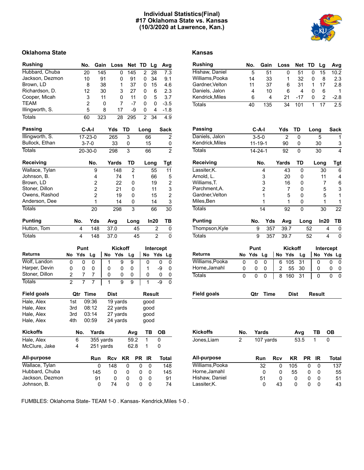# **Individual Statistics(Final) #17 Oklahoma State vs. Kansas (10/3/2020 at Lawrence, Kan.)**



# **Oklahoma State Kansas**

| <b>Rushing</b>     |                |                | No.            | Gain           |    |      | Loss     | Net            |      | TD             |      | Lg             |    | Avg            |
|--------------------|----------------|----------------|----------------|----------------|----|------|----------|----------------|------|----------------|------|----------------|----|----------------|
| Hubbard, Chuba     |                |                | 20             | 145            |    |      | 0        | 145            |      | 2              |      | 28             |    | 7.3            |
| Jackson, Dezmon    |                |                | 10             |                | 91 |      | 0        | 91             |      | 0              |      | 34             |    | 9.1            |
| Brown, LD          |                |                | 8              |                | 38 |      | 1        | 37             |      | 0              |      | 15             |    | 4.6            |
| Richardson, D.     |                |                | 12             |                | 30 |      | 3        | 27             |      | 0              |      | 6              |    | 2.3            |
| Cooper, Micah      |                |                | 3              |                | 11 |      | 0        | 11             |      | 0              |      | 5              |    | 3.7            |
| TEAM               |                |                | $\overline{2}$ |                | 0  |      | 7        |                | $-7$ | 0              |      | 0              |    | $-3.5$         |
| Illingworth, S.    |                |                | 5              |                | 8  |      | 17       |                | -9   | 0              |      | 4              |    | $-1.8$         |
| <b>Totals</b>      |                |                | 60             | 323            |    |      | 28       | 295            |      | $\overline{2}$ |      | 34             |    | 4.9            |
| <b>Passing</b>     |                |                | $C-A-I$        |                |    | Yds  |          | TD             |      | Long           |      |                |    | <b>Sack</b>    |
| Illingworth, S.    |                |                | $17 - 23 - 0$  |                |    | 265  |          | 3              |      |                | 66   |                |    | 2              |
| Bullock, Ethan     |                |                | $3 - 7 - 0$    |                |    | 33   |          | 0              |      |                | 15   |                |    | 0              |
| <b>Totals</b>      |                |                | $20 - 30 - 0$  |                |    | 298  |          | 3              |      |                | 66   |                |    | $\overline{2}$ |
| <b>Receiving</b>   |                |                |                | No.            |    |      | Yards    | TD             |      |                | Long |                |    | Tgt            |
| Wallace, Tylan     |                |                |                | 9              |    |      | 148      | $\overline{2}$ |      |                |      | 55             |    | 11             |
| Johnson, B.        |                |                |                | 4              |    |      | 74       | 1              |      |                |      | 66             |    | 5              |
| Brown, LD          |                |                |                | $\overline{2}$ |    |      | 22       | 0              |      |                |      | 19             |    | 2              |
| Stoner, Dillon     |                |                |                | 2              |    |      | 21       | 0              |      |                |      | 11             |    | 3              |
| Owens, Rashod      |                |                |                | $\overline{2}$ |    |      | 19       | 0              |      |                |      | 15             |    | $\overline{2}$ |
| Anderson, Dee      |                |                |                | 1              |    |      | 14       | 0              |      |                |      | 14             |    | 3              |
| <b>Totals</b>      |                |                |                | 20             |    |      | 298      | 3              |      |                |      | 66             |    | 30             |
| <b>Punting</b>     |                | No.            |                | Yds            |    | Avg  |          | Long           |      |                |      | In20           |    | TВ             |
| Hutton, Tom        |                | 4              |                | 148            |    | 37.0 |          |                | 45   |                |      | 2              |    | 0              |
| <b>Totals</b>      |                |                |                |                |    |      |          |                |      |                |      |                |    |                |
|                    |                | 4              |                | 148            |    | 37.0 |          |                | 45   |                |      | $\overline{2}$ |    | 0              |
|                    |                | Punt           |                |                |    |      | Kickoff  |                |      |                |      | Intercept      |    |                |
| <b>Returns</b>     | No             | Yds            | Lg             |                | No |      | Yds      | Lg             |      | No             |      | Yds            |    | Lg             |
| Wolf, Landon       | 0              | 0              |                | 0              |    | 1    | 9        | 9              |      |                | 0    |                | 0  | 0              |
| Harper, Devin      | 0              | 0              |                | 0              |    | 0    | 0        | 0              |      |                | 1    |                | -9 | 0              |
| Stoner, Dillon     | $\overline{2}$ | 7              |                | 7              |    | 0    | 0        | 0              |      |                | 0    |                | 0  | 0              |
| <b>Totals</b>      | $\overline{2}$ | $\overline{7}$ |                | 7              |    | 1    | 9        | 9              |      |                | 1    |                | -9 | 0              |
| <b>Field goals</b> |                | Qtr            | <b>Time</b>    |                |    | Dist |          |                |      |                |      | <b>Result</b>  |    |                |
| Hale, Alex         | 1st            |                | 09:36          |                |    |      | 19 yards |                |      |                | good |                |    |                |
| Hale, Alex         | 3rd            |                | 08:12          |                |    |      | 22 yards |                |      |                | good |                |    |                |
| Hale, Alex         | 3rd            |                | 03:14          |                |    |      | 27 yards |                |      |                | good |                |    |                |
| Hale, Alex         | 4th            |                | 00:59          |                |    |      | 24 yards |                |      |                | good |                |    |                |
| <b>Kickoffs</b>    |                | No.            |                | Yards          |    |      |          | Avg            |      |                | TB   |                | OB |                |
| Hale, Alex         |                | 6              |                | 355 yards      |    |      |          | 59.2           |      |                | 1    |                | 0  |                |
| McClure, Jake      |                | 4              |                | 251 yards      |    |      |          | 62.8           |      |                | 1    |                | 0  |                |
| All-purpose        |                |                |                | Run            |    | Rcv  |          | KR             | PR   |                | IR   |                |    | Total          |
| Wallace, Tylan     |                |                |                | 0              |    | 148  |          | 0              |      | 0              | 0    |                |    | 148            |
| Hubbard, Chuba     |                |                |                | 145            |    |      | 0        | 0              |      | 0              | 0    |                |    | 145            |
| Jackson, Dezmon    |                |                |                | 91             |    |      | 0        | 0              |      | 0              | 0    |                |    | 91             |
| Johnson, B.        |                |                |                | 0              |    | 74   |          | 0              |      | 0              | 0    |                |    | 74             |

| <b>Rushing</b>     |                | No.                          | Gain           |           | Loss                 | <b>Net</b>  | TD   |               | Lg             | Avg              |
|--------------------|----------------|------------------------------|----------------|-----------|----------------------|-------------|------|---------------|----------------|------------------|
| Hishaw, Daniel     |                | 5                            | 51             |           | 0                    | 51          |      | 0             | 15             | 10.2             |
| Williams, Pooka    |                | 14                           | 33             |           | 1                    | 32          |      | 0             | 8              | 2.3              |
| Gardner, Velton    |                | 11                           | 37             |           | 6                    | 31          |      | 1             | 17             | 2.8              |
| Daniels, Jalon     |                | 4                            | 10             |           | 6                    | 4           |      | 0             | 6              | 1                |
| Kendrick, Miles    |                | 6                            | 4              |           | 21                   | $-17$       |      | 0             | $\overline{c}$ | $-2.8$           |
| <b>Totals</b>      |                | 40                           | 135            |           | 34                   | 101         |      | 1             | 17             | $\overline{2.5}$ |
| <b>Passing</b>     |                | C-A-I                        |                | Yds       |                      | TD          |      | Long          |                | Sack             |
| Daniels, Jalon     |                |                              |                |           |                      |             |      |               |                | 1                |
| Kendrick, Miles    |                | $3 - 5 - 0$<br>$11 - 19 - 1$ |                |           | $\overline{2}$<br>90 | 0<br>0      |      | 5<br>30       |                | 3                |
| <b>Totals</b>      |                | $14 - 24 - 1$                |                |           |                      |             |      |               |                | 4                |
|                    |                |                              |                |           | 92                   | 0           |      | 30            |                |                  |
| Receiving          |                |                              | No.            | Yards     |                      | TD          |      | Long          |                | <b>Tgt</b>       |
| Lassiter, K.       |                |                              | 4              |           | 43                   | 0           |      |               | 30             | 6                |
| Arnold, L.         |                |                              | 3              |           | 20                   | 0           |      |               | 11             | 4                |
| Williams, T.       |                |                              | 3              |           | 16                   | 0           |      |               | 7              | 6                |
| Parchment, A.      |                |                              | $\overline{2}$ |           | 7                    | 0           |      |               | 5              | 3                |
| Gardner, Velton    |                |                              | 1              |           | 5                    | 0           |      |               | 5              | 1                |
| Miles, Ben         |                |                              | 1              |           | 1                    | 0           |      |               | 1              | 1                |
| <b>Totals</b>      |                |                              | 14             |           | 92                   | 0           |      |               | 30             | $\overline{22}$  |
| <b>Punting</b>     |                | No.                          | Yds            |           | Avg                  |             | Long |               | In20           | TB               |
| Thompson, Kyle     |                | 9                            | 357            |           | 39.7                 |             | 52   |               | 4              | 0                |
| <b>Totals</b>      |                | 9                            | 357            |           | 39.7                 |             | 52   |               | 4              | 0                |
|                    |                | Punt                         |                |           | <b>Kickoff</b>       |             |      |               | Intercept      |                  |
| <b>Returns</b>     | No             | Yds                          | Lg             | <b>No</b> | Yds                  | Lg          |      | <b>No</b>     | Yds            | Lg               |
| Williams, Pooka    | 0              | 0                            | 0              | 6         | 105                  | 31          |      | 0             |                | 0<br>0           |
| Horne, Jamahl      | 0              | 0                            | 0              | 2         | 55                   | 30          |      | 0             |                | 0<br>0           |
| <b>Totals</b>      | 0              | 0                            | 0              | 8         | 160                  | 31          |      | 0             |                | 0<br>0           |
| <b>Field goals</b> |                | Qtr                          | <b>Time</b>    |           |                      | <b>Dist</b> |      | <b>Result</b> |                |                  |
|                    |                |                              |                |           |                      |             |      |               |                |                  |
|                    |                |                              |                |           |                      |             |      |               |                |                  |
| <b>Kickoffs</b>    | No.            |                              | Yards          |           |                      | Avg         |      | ТB            |                | OВ               |
| Jones.Liam         | $\overline{2}$ |                              | 107 yards      |           |                      | 53.5        |      | 1             | 0              |                  |

| All-purpose     | Run | Rcv | KR.      | PR | IR           | Total |
|-----------------|-----|-----|----------|----|--------------|-------|
| Williams, Pooka | 32  | O   | 105      |    | O            | 137   |
| Horne, Jamahl   | O   | O   | 55       |    | $\mathbf{I}$ | 55    |
| Hishaw, Daniel  | 51  | O   | O        |    |              | 51    |
| Lassiter, K.    | 0   | 43  | $^{(1)}$ |    |              | 43    |

FUMBLES: Oklahoma State- TEAM 1-0 . Kansas- Kendrick,Miles 1-0 .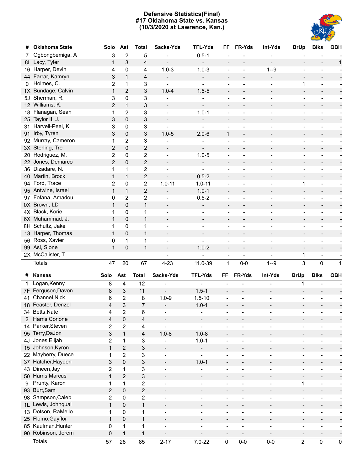# **Defensive Statistics(Final) #17 Oklahoma State vs. Kansas (10/3/2020 at Lawrence, Kan.)**



| #              | <b>Oklahoma State</b> | Solo                    | Ast                       | <b>Total</b>            | Sacks-Yds                | <b>TFL-Yds</b>               | FF                           | FR-Yds                   | Int-Yds                  | <b>BrUp</b>                  | <b>Blks</b>                  | QBH                                              |
|----------------|-----------------------|-------------------------|---------------------------|-------------------------|--------------------------|------------------------------|------------------------------|--------------------------|--------------------------|------------------------------|------------------------------|--------------------------------------------------|
| 7              | Ogbongbemiga, A       | 3                       | $\overline{2}$            | 5                       |                          | $0.5 - 1$                    |                              |                          |                          |                              |                              |                                                  |
| 81             | Lacy, Tyler           | $\mathbf{1}$            | 3                         | 4                       |                          | $\blacksquare$               | $\overline{\phantom{a}}$     |                          |                          |                              |                              | $\mathbf{1}$                                     |
|                | 16 Harper, Devin      | 4                       | 0                         | 4                       | $1.0 - 3$                | $1.0 - 3$                    |                              | $\blacksquare$           | $1 - 9$                  | $\overline{\phantom{a}}$     |                              |                                                  |
| 44             | Farrar, Kamryn        | 3                       | 1                         | 4                       |                          | $\overline{\phantom{a}}$     | $\overline{\phantom{a}}$     |                          | $\overline{\phantom{a}}$ | $\overline{\phantom{a}}$     | $\blacksquare$               |                                                  |
| 0              | Holmes, C.            | 2                       | 1                         | 3                       |                          | $\overline{\phantom{a}}$     | $\overline{\phantom{a}}$     | $\overline{\phantom{a}}$ | $\overline{\phantom{a}}$ | $\mathbf 1$                  | $\overline{\phantom{a}}$     |                                                  |
| 1X             | Bundage, Calvin       | $\mathbf{1}$            | $\overline{2}$            | $\mathsf 3$             | $1.0 - 4$                | $1.5 - 5$                    | $\overline{\phantom{a}}$     | $\blacksquare$           | $\overline{\phantom{0}}$ | $\overline{\phantom{a}}$     |                              |                                                  |
| 5J             | Sherman, R.           | 3                       | 0                         | 3                       |                          | ÷                            | $\overline{\phantom{a}}$     | $\overline{\phantom{a}}$ | $\overline{\phantom{a}}$ | $\overline{\phantom{a}}$     | $\overline{\phantom{a}}$     | $\overline{\phantom{a}}$                         |
|                | 12 Williams, K.       | 2                       | $\mathbf{1}$              | 3                       | $\overline{\phantom{a}}$ | $\qquad \qquad -$            | $\overline{\phantom{a}}$     | $\blacksquare$           | $\blacksquare$           | $\overline{\phantom{a}}$     |                              |                                                  |
| 18             | Flanagan, Sean        | 1                       | 2                         | $\mathfrak{S}$          |                          | $1.0 - 1$                    | $\blacksquare$               | $\blacksquare$           | $\overline{\phantom{a}}$ | $\overline{\phantom{a}}$     | $\overline{\phantom{a}}$     | $\overline{\phantom{a}}$                         |
|                | 25 Taylor II, J.      | 3                       | $\pmb{0}$                 | 3                       |                          | $\overline{\phantom{0}}$     | $\overline{\phantom{a}}$     | $\blacksquare$           | $\blacksquare$           | $\overline{\phantom{a}}$     |                              |                                                  |
| 31             | Harvell-Peel, K       | 3                       | 0                         | 3                       |                          | $\overline{\phantom{a}}$     | $\overline{\phantom{a}}$     | $\blacksquare$           | $\blacksquare$           | $\overline{\phantom{a}}$     | $\blacksquare$               | $\overline{\phantom{a}}$                         |
| 91             | Irby, Tyren           | 3                       | 0                         | $\mathsf 3$             | $1.0 - 5$                | $2.0 - 6$                    | $\mathbf{1}$                 | $\overline{\phantom{a}}$ | $\overline{\phantom{a}}$ | $\overline{\phantom{a}}$     |                              |                                                  |
|                | 92 Murray, Cameron    | 1                       | 2                         | 3                       |                          | $\overline{\phantom{a}}$     | $\blacksquare$               | $\blacksquare$           | $\blacksquare$           | $\overline{\phantom{a}}$     | $\blacksquare$               | $\overline{\phantom{a}}$                         |
|                | 3X Sterling, Tre      | 2                       | $\pmb{0}$                 | $\overline{2}$          |                          | $\overline{\phantom{a}}$     | $\overline{\phantom{a}}$     |                          | $\overline{\phantom{a}}$ | $\overline{\phantom{a}}$     |                              |                                                  |
| 20             | Rodriguez, M.         | $\overline{2}$          | 0                         | $\overline{2}$          |                          | $1.0 - 5$                    | $\overline{\phantom{a}}$     | $\blacksquare$           | $\overline{\phantom{a}}$ | $\overline{\phantom{a}}$     | $\overline{\phantom{a}}$     | $\overline{\phantom{a}}$                         |
|                | 22 Jones, Demarco     | $\overline{2}$          | 0                         | $\overline{2}$          |                          | $\overline{\phantom{0}}$     | $\overline{\phantom{a}}$     | $\blacksquare$           | $\overline{\phantom{a}}$ | $\overline{\phantom{a}}$     |                              |                                                  |
|                | 36 Dizadare, N.       | 1                       | 1                         | $\overline{2}$          |                          |                              | $\overline{\phantom{a}}$     | $\overline{\phantom{a}}$ | $\overline{\phantom{a}}$ | $\overline{\phantom{a}}$     | $\overline{\phantom{a}}$     | $\overline{\phantom{a}}$                         |
|                | 40 Martin, Brock      | $\mathbf{1}$            | $\mathbf{1}$              | $\overline{2}$          |                          | $0.5 - 2$                    | $\blacksquare$               | $\overline{a}$           | $\blacksquare$           | $\overline{\phantom{a}}$     | $\blacksquare$               |                                                  |
|                | 94 Ford, Trace        | $\overline{2}$          | 0                         | $\overline{2}$          | $1.0 - 11$               | $1.0 - 11$                   | $\overline{\phantom{a}}$     | $\blacksquare$           | $\overline{\phantom{a}}$ | $\mathbf 1$                  | $\overline{\phantom{a}}$     | $\overline{\phantom{a}}$                         |
|                | 95 Antwine, Israel    | $\mathbf{1}$            | $\mathbf{1}$              | $\overline{2}$          | $\overline{\phantom{a}}$ | $1.0 - 1$                    | $\blacksquare$               | $\blacksquare$           | $\blacksquare$           | $\overline{\phantom{a}}$     | $\blacksquare$               |                                                  |
|                | 97 Fofana, Amadou     | 0                       | 2                         | $\overline{2}$          |                          | $0.5 - 2$                    | $\overline{\phantom{a}}$     | $\blacksquare$           | $\overline{\phantom{a}}$ | $\overline{\phantom{a}}$     | $\overline{\phantom{a}}$     | $\overline{\phantom{a}}$                         |
|                | 0X Brown, LD          | $\mathbf{1}$            | $\pmb{0}$                 | $\mathbf{1}$            |                          | $\blacksquare$               | $\overline{\phantom{a}}$     | $\blacksquare$           | $\overline{\phantom{a}}$ | $\overline{\phantom{a}}$     | $\blacksquare$               |                                                  |
|                | 4X Black, Korie       | 1                       | 0                         | 1                       |                          |                              |                              | $\blacksquare$           | $\overline{\phantom{a}}$ |                              | $\blacksquare$               | $\overline{\phantom{a}}$                         |
|                | 6X Muhammad, J.       | $\mathbf{1}$            |                           | $\mathbf{1}$            |                          | $\overline{\phantom{a}}$     | $\overline{\phantom{a}}$     |                          |                          | $\overline{\phantom{a}}$     |                              |                                                  |
|                | 8H Schultz, Jake      | 1                       | 0                         | $\mathbf 1$             |                          | $\overline{\phantom{a}}$     | $\overline{\phantom{a}}$     | $\blacksquare$           | $\blacksquare$           | $\overline{\phantom{a}}$     | $\blacksquare$               |                                                  |
|                | 13 Harper, Thomas     | $\mathbf{1}$            | 0                         |                         | $\overline{\phantom{a}}$ | $\overline{\phantom{a}}$     | $\overline{\phantom{a}}$     |                          | $\overline{\phantom{a}}$ | $\overline{\phantom{a}}$     | $\overline{\phantom{a}}$     | $\overline{\phantom{a}}$                         |
|                | 56 Ross, Xavier       |                         | 0                         | $\mathbf{1}$            |                          | $\overline{\phantom{a}}$     | $\overline{\phantom{a}}$     |                          | $\overline{\phantom{a}}$ | $\overline{\phantom{a}}$     | $\blacksquare$               |                                                  |
|                | 99 Asi, Sione         | 0<br>$\mathbf{1}$       | 1                         | $\mathbf 1$             |                          |                              | $\overline{\phantom{a}}$     | $\blacksquare$           | $\overline{\phantom{a}}$ | $\overline{\phantom{a}}$     | $\overline{\phantom{a}}$     |                                                  |
|                | 2X McCalister, T.     |                         | $\pmb{0}$                 | $\mathbf{1}$            |                          | $1.0 - 2$                    | $\blacksquare$               | $\overline{\phantom{a}}$ | $\overline{\phantom{a}}$ |                              |                              |                                                  |
|                |                       |                         |                           |                         |                          |                              | $\qquad \qquad \blacksquare$ |                          |                          | 1                            |                              |                                                  |
|                | <b>Totals</b>         | 47                      | 20                        | 67                      | $4 - 23$                 | 11.0-39                      | 1                            | $0-0$                    | $1 - 9$                  | $\mathbf{3}$                 | $\mathbf 0$                  | $\mathbf{1}$                                     |
|                | # Kansas              | Solo                    | Ast                       | <b>Total</b>            | Sacks-Yds                | <b>TFL-Yds</b>               | FF                           | FR-Yds                   | Int-Yds                  | <b>BrUp</b>                  | <b>Blks</b>                  | QBH                                              |
| 1              | Logan, Kenny          | 8                       | 4                         | 12                      |                          |                              |                              |                          |                          | 1                            |                              |                                                  |
|                | 7F Ferguson, Davon    | 8                       | $\ensuremath{\mathsf{3}}$ | 11                      | $\blacksquare$           | $1.5 - 1$                    |                              |                          |                          |                              |                              |                                                  |
| 41             | Channel, Nick         | 6                       | $\overline{2}$            |                         |                          |                              |                              |                          |                          |                              |                              |                                                  |
|                | 18 Feaster, Denzel    |                         |                           | 8                       | $1.0 - 9$                | $1.5 - 10$                   |                              | $\overline{a}$           |                          | $\overline{a}$               |                              |                                                  |
|                |                       | 4                       | $\mathfrak{S}$            | $\overline{7}$          | $\overline{a}$           | $1.0 - 1$                    |                              |                          |                          |                              |                              |                                                  |
|                | 34 Betts, Nate        | 4                       | $\overline{\mathbf{c}}$   | 6                       |                          | $\overline{\phantom{0}}$     |                              |                          |                          |                              |                              |                                                  |
| $\overline{2}$ | Harris, Corione       | 4                       | $\pmb{0}$                 | 4                       | $\overline{\phantom{a}}$ | $\overline{\phantom{a}}$     | $\qquad \qquad \blacksquare$ | $\overline{a}$           |                          | $\qquad \qquad \blacksquare$ | $\qquad \qquad \blacksquare$ |                                                  |
|                | 14 Parker, Steven     | $\sqrt{2}$              | $\overline{2}$            | 4                       | $\overline{a}$           | $\blacksquare$               | $\overline{\phantom{a}}$     | $\overline{a}$           | $\overline{\phantom{a}}$ | $\blacksquare$               | $\overline{\phantom{a}}$     | $\overline{\phantom{a}}$                         |
|                | 95 Terry, DaJon       | 3                       | $\mathbf{1}$              | 4                       | $1.0 - 8$                | $1.0 - 8$                    | $\overline{\phantom{a}}$     | $\overline{a}$           |                          | $\qquad \qquad \blacksquare$ | $\overline{\phantom{a}}$     |                                                  |
|                | 4J Jones, Elijah      | 2                       | $\mathbf{1}$              | 3                       | $\blacksquare$           | $1.0 - 1$                    | $\overline{\phantom{a}}$     | $\overline{a}$           | $\overline{\phantom{a}}$ | $\overline{\phantom{a}}$     | $\overline{a}$               | $\overline{\phantom{a}}$                         |
|                | 15 Johnson, Kyron     | $\mathbf 1$             | $\mathbf{2}$              | 3                       | $\overline{\phantom{a}}$ | $\overline{\phantom{0}}$     | $\overline{\phantom{a}}$     | $\overline{a}$           |                          | $\overline{\phantom{0}}$     | $\overline{\phantom{a}}$     |                                                  |
|                | 22 Mayberry, Duece    | 1                       | $\overline{2}$            | 3                       | $\overline{\phantom{a}}$ | $\overline{\phantom{0}}$     | $\overline{a}$               | $\overline{a}$           | $\overline{\phantom{a}}$ | $\overline{a}$               | -                            | F<br>$\overline{\phantom{a}}$                    |
|                | 37 Hatcher, Hayden    | 3                       | $\pmb{0}$                 | 3                       | $\overline{\phantom{a}}$ | $1.0 - 1$                    | $\overline{\phantom{a}}$     | $\overline{\phantom{a}}$ |                          | $\overline{\phantom{0}}$     | $\overline{\phantom{a}}$     |                                                  |
|                | 43 Dineen, Jay        | $\sqrt{2}$              | $\mathbf 1$               | 3                       | $\blacksquare$           |                              | $\overline{a}$               | $\overline{a}$           | $\overline{\phantom{a}}$ | $\qquad \qquad \blacksquare$ | $\overline{\phantom{a}}$     | $\overline{a}$<br>$\overline{\phantom{a}}$       |
|                | 50 Harris, Marcus     | $\mathbf 1$             | $\mathbf{2}$              | 3                       | $\overline{\phantom{a}}$ | $\overline{\phantom{a}}$     | $\overline{\phantom{a}}$     | $\overline{\phantom{a}}$ | $\overline{\phantom{a}}$ | $\overline{\phantom{a}}$     | $\overline{\phantom{a}}$     |                                                  |
| 9              | Prunty, Karon         | 1                       | $\mathbf 1$               | $\overline{2}$          | $\overline{\phantom{a}}$ | $\overline{\phantom{0}}$     | $\overline{a}$               | $\overline{a}$           | $\overline{\phantom{a}}$ | $\mathbf{1}$                 | $\overline{\phantom{a}}$     | $\frac{1}{\sqrt{2}}$<br>$\overline{\phantom{a}}$ |
|                | 93 Burt, Sam          | $\overline{\mathbf{c}}$ | $\mathsf 0$               | $\overline{\mathbf{c}}$ | $\overline{\phantom{a}}$ | $\qquad \qquad \blacksquare$ | $\overline{\phantom{a}}$     | $\overline{\phantom{a}}$ |                          | $\qquad \qquad -$            | $\overline{\phantom{0}}$     |                                                  |
|                | 98 Sampson, Caleb     | $\sqrt{2}$              | $\pmb{0}$                 | $\overline{2}$          | $\overline{\phantom{a}}$ | $\overline{\phantom{0}}$     | $\overline{a}$               | $\overline{a}$           | $\overline{\phantom{a}}$ | $\blacksquare$               | $\overline{a}$               | -<br>$\overline{\phantom{a}}$                    |
|                | 1L Lewis, Johnquai    |                         |                           |                         | $\overline{\phantom{a}}$ |                              | $\overline{\phantom{a}}$     | $\overline{\phantom{a}}$ |                          | $\overline{\phantom{0}}$     | $\overline{\phantom{a}}$     |                                                  |
|                | 13 Dotson, RaMello    | $\mathbf 1$             | $\pmb{0}$                 | $\mathbf{1}$            | $\overline{\phantom{a}}$ | $\overline{\phantom{0}}$     | $\overline{a}$               | $\overline{a}$           | $\overline{\phantom{a}}$ | ÷                            | $\overline{a}$               | $\overline{a}$<br>$\overline{\phantom{a}}$       |
|                | 25 Flomo, Gayflor     | 1                       | 0                         | $\mathbf{1}$            | $\overline{\phantom{a}}$ | $\qquad \qquad \blacksquare$ | $\overline{\phantom{a}}$     | $\overline{\phantom{a}}$ | $\overline{\phantom{a}}$ | $\qquad \qquad \blacksquare$ | $\overline{\phantom{a}}$     |                                                  |
|                | 85 Kaufman, Hunter    | $\mathbf{1}$            | $\pmb{0}$<br>$\mathbf 1$  | $\mathbf{1}$            | $\blacksquare$           |                              | $\overline{a}$               | $\overline{a}$           | $\overline{\phantom{a}}$ | $\overline{\phantom{a}}$     | $\overline{\phantom{a}}$     | $\overline{\phantom{a}}$                         |
|                | 90 Robinson, Jerem    | 0                       | $\mathbf{1}$              | 1                       | $\overline{a}$           |                              |                              | $\overline{a}$           | $\overline{\phantom{a}}$ | $\overline{\phantom{a}}$     | $\overline{\phantom{a}}$     | $\overline{\phantom{a}}$                         |
|                | <b>Totals</b>         | $\pmb{0}$<br>57         | 28                        | $\mathbf 1$<br>85       | $2 - 17$                 | $7.0 - 22$                   | 0                            | $0-0$                    | $0-0$                    | $\overline{\mathbf{c}}$      | 0                            | $\pmb{0}$                                        |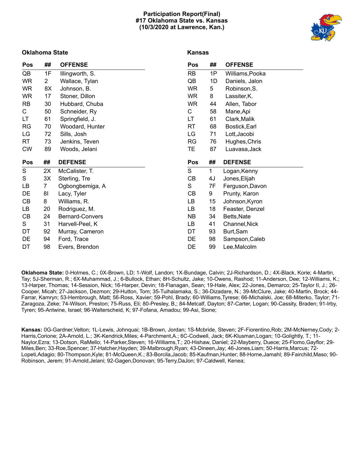# **Participation Report(Final) #17 Oklahoma State vs. Kansas (10/3/2020 at Lawrence, Kan.)**



# **Oklahoma State**

# **Kansas**

| Pos       | ##             | <b>OFFENSE</b>  | Pos          | ## | <b>OFFENSE</b>  |
|-----------|----------------|-----------------|--------------|----|-----------------|
| QB        | 1F             | Illingworth, S. | <b>RB</b>    | 1P | Williams, Pooka |
| WR.       | $\overline{2}$ | Wallace, Tylan  | QB           | 1D | Daniels, Jalon  |
| <b>WR</b> | 8X             | Johnson, B.     | <b>WR</b>    | 5  | Robinson, S.    |
| <b>WR</b> | 17             | Stoner, Dillon  | <b>WR</b>    | 8  | Lassiter, K.    |
| <b>RB</b> | 30             | Hubbard, Chuba  | <b>WR</b>    | 44 | Allen, Tabor    |
| C         | 50             | Schneider, Ry   | C            | 58 | Mane, Api       |
| LT        | 61             | Springfield, J. | LT           | 61 | Clark, Malik    |
| RG        | 70             | Woodard, Hunter | RT           | 68 | Bostick, Earl   |
| LG        | 72             | Sills, Josh     | LG           | 71 | Lott, Jacobi    |
| RT        | 73             | Jenkins, Teven  | RG           | 76 | Hughes, Chris   |
| <b>CW</b> | 89             | Woods, Jelani   | TЕ           | 87 | Luavasa, Jack   |
|           |                |                 |              |    |                 |
| Pos       | ##             | <b>DEFENSE</b>  | Pos          | ## | <b>DEFENSE</b>  |
| S         | 2X             | McCalister, T.  | $\mathsf{S}$ | 1  | Logan, Kenny    |
| S         | 3X             | Sterling, Tre   | CВ           | 4J | Jones, Elijah   |
| LВ        | 7              | Ogbongbemiga, A | S            | 7F | Ferguson, Davon |
| DE        | 81             | Lacy, Tyler     | СB           | 9  | Prunty, Karon   |
| CB        | 8              | Williams, R.    | LB           | 15 | Johnson, Kyron  |
| LB        | 20             | Rodriguez, M.   | LВ           | 18 | Feaster, Denzel |
| CB        | 24             | Bernard-Convers | NΒ           | 34 | Betts, Nate     |
| S         | 31             | Harvell-Peel, K | LB           | 41 | Channel, Nick   |
| DT        | 92             | Murray, Cameron | DT           | 93 | Burt, Sam       |
| DE        | 94             | Ford, Trace     | DE           | 98 | Sampson, Caleb  |

**Oklahoma State:** 0-Holmes, C.; 0X-Brown, LD; 1-Wolf, Landon; 1X-Bundage, Calvin; 2J-Richardson, D.; 4X-Black, Korie; 4-Martin, Tay; 5J-Sherman, R.; 6X-Muhammad, J.; 6-Bullock, Ethan; 8H-Schultz, Jake; 10-Owens, Rashod; 11-Anderson, Dee; 12-Williams, K.; 13-Harper, Thomas; 14-Session, Nick; 16-Harper, Devin; 18-Flanagan, Sean; 19-Hale, Alex; 22-Jones, Demarco; 25-Taylor II, J.; 26- Cooper, Micah; 27-Jackson, Dezmon; 29-Hutton, Tom; 35-Tuihalamaka, S.; 36-Dizadare, N.; 39-McClure, Jake; 40-Martin, Brock; 44- Farrar, Kamryn; 53-Hembrough, Matt; 56-Ross, Xavier; 59-Pohl, Brady; 60-Williams,Tyrese; 66-Michalski, Joe; 68-Miterko, Taylor; 71- Zaragoza, Zeke; 74-Wilson, Preston; 75-Russ, Eli; 80-Presley, B,; 84-Metcalf, Dayton; 87-Carter, Logan; 90-Cassity, Braden; 91-Irby, Tyren; 95-Antwine, Israel; 96-Walterscheid, K; 97-Fofana, Amadou; 99-Asi, Sione;

**Kansas:** 0G-Gardner,Velton; 1L-Lewis, Johnquai; 1B-Brown, Jordan; 1S-Mcbride, Steven; 2F-Fiorentino,Rob; 2M-McNerney,Cody; 2- Harris,Corione; 2A-Arnold, L.; 3K-Kendrick,Miles; 4-Parchment,A.; 6C-Codwell, Jack; 6K-Klusman,Logan; 10-Golightly, T.; 11- Naylor,Ezra; 13-Dotson, RaMello; 14-Parker,Steven; 16-Williams,T.; 20-Hishaw, Daniel; 22-Mayberry, Duece; 25-Flomo,Gayflor; 29- Miles,Ben; 33-Roe,Spencer; 37-Hatcher,Hayden; 39-Malbrough,Ryan; 43-Dineen,Jay; 46-Jones,Liam; 50-Harris,Marcus; 72- Lopeti,Adagio; 80-Thompson,Kyle; 81-McQueen,K.; 83-Borcila,Jacob; 85-Kaufman,Hunter; 88-Horne,Jamahl; 89-Fairchild,Maso; 90- Robinson, Jerem; 91-Arnold,Jelani; 92-Gagen,Donovan; 95-Terry,DaJon; 97-Caldwell, Kenea;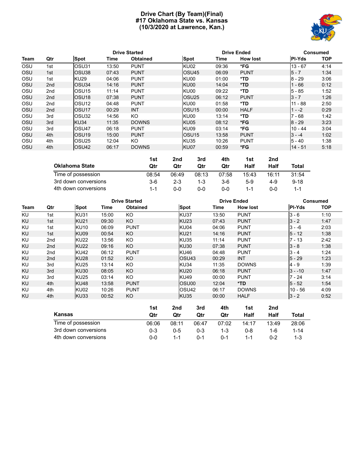# **Drive Chart (By Team)(Final) #17 Oklahoma State vs. Kansas (10/3/2020 at Lawrence, Kan.)**



|      |                 |                         | <b>Drive Started</b> |                 |                    |       | <b>Drive Ended</b> | <b>Consumed</b> |            |  |
|------|-----------------|-------------------------|----------------------|-----------------|--------------------|-------|--------------------|-----------------|------------|--|
| Team | Qtr             | Spot                    | Time                 | <b>Obtained</b> | Spot               | Time  | <b>How lost</b>    | <b>PI-Yds</b>   | <b>TOP</b> |  |
| OSU  | 1st             | <b>OSU31</b>            | 13:50                | <b>PUNT</b>     | <b>KU02</b>        | 09:36 | *FG                | $13 - 67$       | 4:14       |  |
| OSU  | 1st             | <b>OSU38</b>            | 07:43                | <b>PUNT</b>     | OSU <sub>45</sub>  | 06:09 | <b>PUNT</b>        | $5 - 7$         | 1:34       |  |
| OSU  | 1st             | <b>KU29</b>             | 04:06                | <b>PUNT</b>     | KU00               | 01:00 | *TD                | $8 - 29$        | 3:06       |  |
| OSU  | 2 <sub>nd</sub> | <b>OSU34</b>            | 14:16                | <b>PUNT</b>     | KU00               | 14:04 | $*TD$              | $1 - 66$        | 0:12       |  |
| OSU  | 2 <sub>nd</sub> | OSU <sub>15</sub>       | 11:14                | <b>PUNT</b>     | KU00               | 09:22 | *TD                | $5 - 85$        | 1:52       |  |
| OSU  | 2 <sub>nd</sub> | <b>OSU<sub>18</sub></b> | 07:38                | <b>PUNT</b>     | lOSU <sub>25</sub> | 06:12 | <b>PUNT</b>        | $3 - 7$         | 1:26       |  |
| OSU  | 2 <sub>nd</sub> | OSU <sub>12</sub>       | 04:48                | <b>PUNT</b>     | KU00               | 01:58 | *TD                | $11 - 88$       | 2:50       |  |
| OSU  | 2 <sub>nd</sub> | <b>OSU17</b>            | 00:29                | <b>INT</b>      | OSU <sub>15</sub>  | 00:00 | <b>HALF</b>        | $1 - -2$        | 0:29       |  |
| OSU  | 3rd             | OSU32                   | 14:56                | KO              | KU00               | 13:14 | *TD                | $7 - 68$        | 1:42       |  |
| OSU  | 3rd             | KU34                    | 11:35                | <b>DOWNS</b>    | KU05               | 08:12 | *FG                | $8 - 29$        | 3:23       |  |
| OSU  | 3rd             | OSU <sub>47</sub>       | 06:18                | <b>PUNT</b>     | KU09               | 03:14 | *FG                | $10 - 44$       | 3:04       |  |
| OSU  | 4th             | <b>OSU<sub>19</sub></b> | 15:00                | <b>PUNT</b>     | OSU <sub>15</sub>  | 13:58 | <b>PUNT</b>        | $3 - -4$        | 1:02       |  |
| OSU  | 4th             | OSU <sub>25</sub>       | 12:04                | KO              | <b>KU35</b>        | 10:26 | <b>PUNT</b>        | $5 - 40$        | 1:38       |  |
| OSU  | 4th             | lOSU42                  | 06:17                | <b>DOWNS</b>    | KU07               | 00:59 | *FG                | $14 - 51$       | 5:18       |  |

|                       | 1st     | 2nd     | 3rd   | 4th   | 1st   | 2nd   |          |
|-----------------------|---------|---------|-------|-------|-------|-------|----------|
| <b>Oklahoma State</b> | Qtr     | Qtr     | Qtr   | Qtr   | Half  | Half  | Total    |
| Time of possession    | 08:54   | 06:49   | 08:13 | 07:58 | 15:43 | 16:11 | 31:54    |
| 3rd down conversions  | $3-6$   | $2 - 3$ | 1-3   | $3-6$ | 5-9   | 4-9   | $9 - 18$ |
| 4th down conversions  | $1 - 1$ | ი-ი     | 0-0   | 0-0   | 1-1   | ი-ი   | 1-1      |

|      |                    |                      |       | <b>Drive Started</b> |         |                   | <b>Drive Ended</b> |         |                 |          | Consumed  |      |  |
|------|--------------------|----------------------|-------|----------------------|---------|-------------------|--------------------|---------|-----------------|----------|-----------|------|--|
| Team | Qtr                | <b>Spot</b>          | Time  | <b>Obtained</b>      |         | <b>Spot</b>       |                    | Time    | <b>How lost</b> |          | PI-Yds    | TOP  |  |
| KU   | 1st                | <b>KU31</b>          | 15:00 | KO                   |         | <b>KU37</b>       |                    | 13:50   | <b>PUNT</b>     |          | $3 - 6$   | 1:10 |  |
| KU   | 1st                | <b>KU21</b>          | 09:30 | KO.                  |         | KU <sub>23</sub>  |                    | 07:43   | <b>PUNT</b>     |          | $3 - 2$   | 1:47 |  |
| KU   | 1st                | <b>KU10</b>          | 06:09 | <b>PUNT</b>          |         | KU04              |                    | 04:06   | <b>PUNT</b>     |          | $3 - -6$  | 2:03 |  |
| KU   | 1st                | KU09                 | 00:54 | KO                   |         | <b>KU21</b>       |                    | 14:16   | <b>PUNT</b>     |          | $5 - 12$  | 1:38 |  |
| KU   | 2nd                | <b>KU22</b>          | 13:56 | KO.                  |         | <b>KU35</b>       |                    | 11:14   | <b>PUNT</b>     |          | $7 - 13$  | 2:42 |  |
| KU   | 2 <sub>nd</sub>    | <b>KU22</b>          | 09:16 | KO.                  |         | <b>KU30</b>       |                    | 07:38   | <b>PUNT</b>     |          | $3 - 8$   | 1:38 |  |
| KU   | 2nd                | <b>KU42</b>          | 06:12 | <b>PUNT</b>          |         | <b>KU46</b>       |                    | 04:48   | <b>PUNT</b>     |          | $3 - 4$   | 1:24 |  |
| KU   | 2nd                | <b>KU28</b>          | 01:52 | KO                   |         | OSU <sub>43</sub> |                    | 00:29   | INT             |          | $5 - 29$  | 1:23 |  |
| KU   | 3rd                | <b>KU25</b>          | 13:14 | KO                   |         | <b>KU34</b>       |                    | 11:35   | <b>DOWNS</b>    |          | $4 - 9$   | 1:39 |  |
| KU   | 3rd                | <b>KU30</b>          | 08:05 | KO.                  |         | <b>KU20</b>       |                    | 06:18   | <b>PUNT</b>     |          | $3 - -10$ | 1:47 |  |
| KU   | 3rd                | <b>KU25</b>          | 03:14 | KO.                  |         | <b>KU49</b>       |                    | 00:00   | <b>PUNT</b>     |          | $7 - 24$  | 3:14 |  |
| KU   | 4th                | <b>KU48</b>          | 13:58 | <b>PUNT</b>          |         |                   | OSU00              | 12:04   | *TD             |          | $5 - 52$  | 1:54 |  |
| KU   | 4th                | KU02                 | 10:26 | <b>PUNT</b>          |         |                   | OSU <sub>42</sub>  | 06:17   | <b>DOWNS</b>    |          | 10 - 56   | 4:09 |  |
| KU   | 4th                | KU33                 | 00:52 | KO                   |         | KU35              |                    | 00:00   | <b>HALF</b>     |          | $3 - 2$   | 0:52 |  |
|      |                    |                      |       |                      | 1st     | 2nd               | 3rd                | 4th     | 1st             | 2nd      |           |      |  |
|      | Kansas             |                      |       |                      | Qtr     | Qtr               | Qtr                | Qtr     | Half            | Half     | Total     |      |  |
|      | Time of possession |                      |       |                      | 06:06   | 08:11             | 06:47              | 07:02   | 14:17           | 13:49    | 28:06     |      |  |
|      |                    | 3rd down conversions |       | $0 - 3$              | $0 - 5$ | $0 - 3$           | $1 - 3$            | $0 - 8$ | 1-6             | $1 - 14$ |           |      |  |

4th down conversions 0-0 1-1 0-1 0-1 1-1 0-2 1-3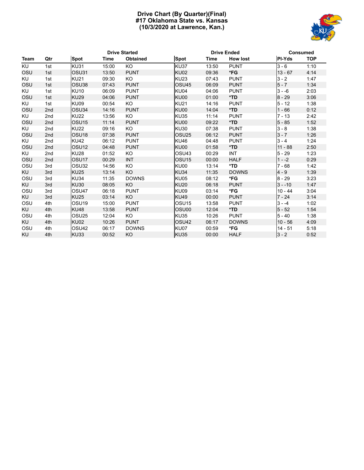# **Drive Chart (By Quarter)(Final) #17 Oklahoma State vs. Kansas (10/3/2020 at Lawrence, Kan.)**



|           |                 |                   |       | <b>Drive Started</b> |                   | <b>Drive Ended</b> |                 | <b>Consumed</b> |            |  |
|-----------|-----------------|-------------------|-------|----------------------|-------------------|--------------------|-----------------|-----------------|------------|--|
| Team      | Qtr             | <b>Spot</b>       | Time  | Obtained             | <b>Spot</b>       | <b>Time</b>        | <b>How lost</b> | <b>PI-Yds</b>   | <b>TOP</b> |  |
| <b>KU</b> | 1st             | <b>KU31</b>       | 15:00 | KO.                  | <b>KU37</b>       | 13:50              | <b>PUNT</b>     | $3 - 6$         | 1:10       |  |
| OSU       | 1st             | OSU31             | 13:50 | <b>PUNT</b>          | KU02              | 09:36              | *FG             | $13 - 67$       | 4:14       |  |
| <b>KU</b> | 1st             | <b>KU21</b>       | 09:30 | KO.                  | <b>KU23</b>       | 07:43              | <b>PUNT</b>     | $3 - 2$         | 1:47       |  |
| OSU       | 1st             | OSU38             | 07:43 | <b>PUNT</b>          | OSU <sub>45</sub> | 06:09              | <b>PUNT</b>     | $5 - 7$         | 1:34       |  |
| KU        | 1st             | <b>KU10</b>       | 06:09 | <b>PUNT</b>          | KU04              | 04:06              | <b>PUNT</b>     | $3 - -6$        | 2:03       |  |
| OSU       | 1st             | <b>KU29</b>       | 04:06 | <b>PUNT</b>          | KU00              | 01:00              | *TD             | $8 - 29$        | 3:06       |  |
| KU        | 1st             | KU09              | 00:54 | KO.                  | <b>KU21</b>       | 14:16              | <b>PUNT</b>     | $5 - 12$        | 1:38       |  |
| OSU       | 2nd             | OSU34             | 14:16 | <b>PUNT</b>          | KU00              | 14:04              | *TD             | $1 - 66$        | 0:12       |  |
| <b>KU</b> | 2 <sub>nd</sub> | <b>KU22</b>       | 13:56 | KO                   | <b>KU35</b>       | 11:14              | <b>PUNT</b>     | $7 - 13$        | 2:42       |  |
| OSU       | 2 <sub>nd</sub> | OSU <sub>15</sub> | 11:14 | <b>PUNT</b>          | KU00              | 09:22              | *TD             | $5 - 85$        | 1:52       |  |
| KU        | 2nd             | <b>KU22</b>       | 09:16 | KO                   | <b>KU30</b>       | 07:38              | <b>PUNT</b>     | $3 - 8$         | 1:38       |  |
| OSU       | 2nd             | OSU <sub>18</sub> | 07:38 | <b>PUNT</b>          | OSU <sub>25</sub> | 06:12              | <b>PUNT</b>     | $3 - 7$         | 1:26       |  |
| <b>KU</b> | 2nd             | <b>KU42</b>       | 06:12 | <b>PUNT</b>          | <b>KU46</b>       | 04:48              | <b>PUNT</b>     | $3 - 4$         | 1:24       |  |
| OSU       | 2 <sub>nd</sub> | OSU <sub>12</sub> | 04:48 | <b>PUNT</b>          | KU00              | 01:58              | $*TD$           | $11 - 88$       | 2:50       |  |
| KU        | 2nd             | <b>KU28</b>       | 01:52 | KO                   | OSU <sub>43</sub> | 00:29              | <b>INT</b>      | $5 - 29$        | 1:23       |  |
| OSU       | 2 <sub>nd</sub> | OSU <sub>17</sub> | 00:29 | <b>INT</b>           | OSU <sub>15</sub> | 00:00              | <b>HALF</b>     | $1 - -2$        | 0:29       |  |
| OSU       | 3rd             | OSU32             | 14:56 | KO.                  | KU00              | 13:14              | *TD             | $7 - 68$        | 1:42       |  |
| KU        | 3rd             | <b>KU25</b>       | 13:14 | KO                   | <b>KU34</b>       | 11:35              | <b>DOWNS</b>    | $4 - 9$         | 1:39       |  |
| OSU       | 3rd             | <b>KU34</b>       | 11:35 | <b>DOWNS</b>         | KU05              | 08:12              | *FG             | $8 - 29$        | 3:23       |  |
| <b>KU</b> | 3rd             | <b>KU30</b>       | 08:05 | <b>KO</b>            | <b>KU20</b>       | 06:18              | <b>PUNT</b>     | $3 - -10$       | 1:47       |  |
| OSU       | 3rd             | OSU <sub>47</sub> | 06:18 | <b>PUNT</b>          | KU09              | 03:14              | *FG             | $10 - 44$       | 3:04       |  |
| KU        | 3rd             | <b>KU25</b>       | 03:14 | KO                   | <b>KU49</b>       | 00:00              | <b>PUNT</b>     | $7 - 24$        | 3:14       |  |
| OSU       | 4th             | OSU <sub>19</sub> | 15:00 | <b>PUNT</b>          | OSU <sub>15</sub> | 13:58              | <b>PUNT</b>     | $3 - -4$        | 1:02       |  |
| KU        | 4th             | <b>KU48</b>       | 13:58 | <b>PUNT</b>          | OSU00             | 12:04              | *TD             | $5 - 52$        | 1:54       |  |
| OSU       | 4th             | OSU <sub>25</sub> | 12:04 | KO.                  | <b>KU35</b>       | 10:26              | <b>PUNT</b>     | $5 - 40$        | 1:38       |  |
| KU        | 4th             | KU02              | 10:26 | <b>PUNT</b>          | OSU <sub>42</sub> | 06:17              | <b>DOWNS</b>    | $10 - 56$       | 4:09       |  |
| OSU       | 4th             | OSU42             | 06:17 | <b>DOWNS</b>         | KU07              | 00:59              | *FG             | $14 - 51$       | 5:18       |  |
| KU        | 4th             | <b>KU33</b>       | 00:52 | KO                   | <b>KU35</b>       | 00:00              | <b>HALF</b>     | $3 - 2$         | 0:52       |  |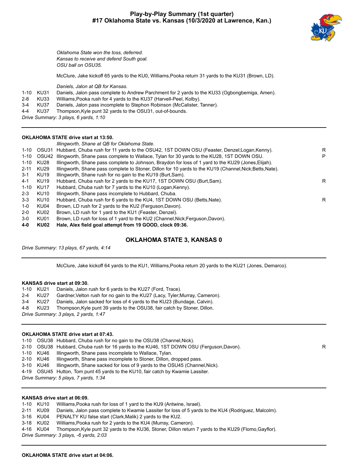# **Play-by-Play Summary (1st quarter) #17 Oklahoma State vs. Kansas (10/3/2020 at Lawrence, Kan.)**



*Oklahoma State won the toss, deferred. Kansas to receive and defend South goal. OSU ball on OSU35.*

McClure, Jake kickoff 65 yards to the KU0, Williams,Pooka return 31 yards to the KU31 (Brown, LD).

*Daniels, Jalon at QB for Kansas.*

|  |  |  | 1-10 KU31 Daniels, Jalon pass complete to Andrew Parchment for 2 yards to the KU33 (Ogbongbemiga, Amen). |  |
|--|--|--|----------------------------------------------------------------------------------------------------------|--|
|  |  |  |                                                                                                          |  |

- 2-8 KU33 Williams,Pooka rush for 4 yards to the KU37 (Harvell-Peel, Kolby).
- 3-4 KU37 Daniels, Jalon pass incomplete to Stephon Robinson (McCalister, Tanner).
- 4-4 KU37 Thompson,Kyle punt 32 yards to the OSU31, out-of-bounds.

*Drive Summary: 3 plays, 6 yards, 1:10*

# **OKLAHOMA STATE drive start at 13:50.**

|          |                  | Illingworth, Shane at QB for Oklahoma State.                                                              |   |
|----------|------------------|-----------------------------------------------------------------------------------------------------------|---|
| $1 - 10$ | OSU31            | Hubbard, Chuba rush for 11 yards to the OSU42, 1ST DOWN OSU (Feaster, Denzel; Logan, Kenny).              | R |
| $1 - 10$ | OSU42            | Illingworth, Shane pass complete to Wallace, Tylan for 30 yards to the KU28, 1ST DOWN OSU.                | P |
| $1 - 10$ | KU28             | Illingworth, Shane pass complete to Johnson, Braydon for loss of 1 yard to the KU29 (Jones, Elijah).      |   |
| $2 - 11$ | KU29             | Illingworth, Shane pass complete to Stoner, Dillon for 10 yards to the KU19 (Channel, Nick; Betts, Nate). |   |
| $3-1$    | KU <sub>19</sub> | Illingworth, Shane rush for no gain to the KU19 (Burt, Sam).                                              |   |
| 4-1      | KU <sub>19</sub> | Hubbard, Chuba rush for 2 yards to the KU17, 1ST DOWN OSU (Burt, Sam).                                    | R |
| $1 - 10$ | KU17             | Hubbard, Chuba rush for 7 yards to the KU10 (Logan, Kenny).                                               |   |
| $2 - 3$  | KU <sub>10</sub> | Illingworth, Shane pass incomplete to Hubbard, Chuba.                                                     |   |
| $3 - 3$  | KU10             | Hubbard, Chuba rush for 6 yards to the KU4, 1ST DOWN OSU (Betts, Nate).                                   | R |
| 1-0      | KU04             | Brown, LD rush for 2 yards to the KU2 (Ferguson, Davon).                                                  |   |
| 2-0      | KU02             | Brown, LD rush for 1 yard to the KU1 (Feaster, Denzel).                                                   |   |
| $3-0$    | KU01             | Brown, LD rush for loss of 1 yard to the KU2 (Channel, Nick; Ferguson, Davon).                            |   |
| 4-0      | KU02             | Hale, Alex field goal attempt from 19 GOOD, clock 09:36.                                                  |   |

# **OKLAHOMA STATE 3, KANSAS 0**

*Drive Summary: 13 plays, 67 yards, 4:14*

McClure, Jake kickoff 64 yards to the KU1, Williams,Pooka return 20 yards to the KU21 (Jones, Demarco).

### **KANSAS drive start at 09:30.**

|         | 1-10 KU21   | Daniels, Jalon rush for 6 yards to the KU27 (Ford, Trace).                   |
|---------|-------------|------------------------------------------------------------------------------|
| $2 - 4$ | <b>KU27</b> | Gardner, Velton rush for no gain to the KU27 (Lacy, Tyler; Murray, Cameron). |
| $3 - 4$ | KU27        | Daniels, Jalon sacked for loss of 4 yards to the KU23 (Bundage, Calvin).     |
|         | 4-8 KU23    | Thompson, Kyle punt 39 yards to the OSU38, fair catch by Stoner, Dillon.     |
|         |             | Drive Summary: 3 plays, 2 yards, 1:47                                        |

# **OKLAHOMA STATE drive start at 07:43.**

|  |  |  | 1-10 OSU38 Hubbard, Chuba rush for no gain to the OSU38 (Channel, Nick). |  |  |
|--|--|--|--------------------------------------------------------------------------|--|--|
|--|--|--|--------------------------------------------------------------------------|--|--|

- 2-10 OSU38 Hubbard, Chuba rush for 16 yards to the KU46, 1ST DOWN OSU (Ferguson,Davon).
- 1-10 KU46 Illingworth, Shane pass incomplete to Wallace, Tylan.
- 2-10 KU46 Illingworth, Shane pass incomplete to Stoner, Dillon, dropped pass.
- 3-10 KU46 Illingworth, Shane sacked for loss of 9 yards to the OSU45 (Channel,Nick).

4-19 OSU45 Hutton, Tom punt 45 yards to the KU10, fair catch by Kwamie Lassiter.

*Drive Summary: 5 plays, 7 yards, 1:34*

# **KANSAS drive start at 06:09.**

|  | 1-10 KU10 | Williams, Pooka rush for loss of 1 yard to the KU9 (Antwine, Israel). |  |
|--|-----------|-----------------------------------------------------------------------|--|
|--|-----------|-----------------------------------------------------------------------|--|

2-11 KU09 Daniels, Jalon pass complete to Kwamie Lassiter for loss of 5 yards to the KU4 (Rodriguez, Malcolm).

3-16 KU04 PENALTY KU false start (Clark,Malik) 2 yards to the KU2.

3-18 KU02 Williams,Pooka rush for 2 yards to the KU4 (Murray, Cameron).

4-16 KU04 Thompson,Kyle punt 32 yards to the KU36, Stoner, Dillon return 7 yards to the KU29 (Flomo,Gayflor).

*Drive Summary: 3 plays, -6 yards, 2:03*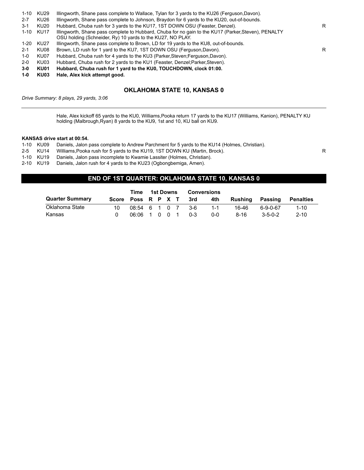| $1 - 10$ | KU29 | Illingworth, Shane pass complete to Wallace, Tylan for 3 yards to the KU26 (Ferguson, Davon).                                                                      |   |
|----------|------|--------------------------------------------------------------------------------------------------------------------------------------------------------------------|---|
| $2 - 7$  | KU26 | Illingworth, Shane pass complete to Johnson, Braydon for 6 yards to the KU20, out-of-bounds.                                                                       |   |
| $3-1$    | KU20 | Hubbard, Chuba rush for 3 yards to the KU17, 1ST DOWN OSU (Feaster, Denzel).                                                                                       | R |
| $1 - 10$ | KU17 | Illingworth, Shane pass complete to Hubbard, Chuba for no gain to the KU17 (Parker, Steven), PENALTY<br>OSU holding (Schneider, Ry) 10 yards to the KU27, NO PLAY. |   |
| $1 - 20$ | KU27 | Illingworth, Shane pass complete to Brown, LD for 19 yards to the KU8, out-of-bounds.                                                                              |   |
| $2 - 1$  | KU08 | Brown, LD rush for 1 yard to the KU7, 1ST DOWN OSU (Ferguson, Davon).                                                                                              | R |
| $1 - 0$  | KU07 | Hubbard, Chuba rush for 4 yards to the KU3 (Parker, Steven; Ferguson, Davon).                                                                                      |   |
| $2 - 0$  | KU03 | Hubbard, Chuba rush for 2 yards to the KU1 (Feaster, Denzel; Parker, Steven).                                                                                      |   |
| $3-0$    | KU01 | Hubbard, Chuba rush for 1 yard to the KU0, TOUCHDOWN, clock 01:00.                                                                                                 |   |
| $1-0$    | KU03 | Hale, Alex kick attempt good.                                                                                                                                      |   |
|          |      |                                                                                                                                                                    |   |

# **OKLAHOMA STATE 10, KANSAS 0**

*Drive Summary: 8 plays, 29 yards, 3:06*

Hale, Alex kickoff 65 yards to the KU0, Williams,Pooka return 17 yards to the KU17 (Williams, Kanion), PENALTY KU holding (Malbrough,Ryan) 8 yards to the KU9, 1st and 10, KU ball on KU9.

# **KANSAS drive start at 00:54.**

|  |  |  |  | 1-10 KU09 Daniels, Jalon pass complete to Andrew Parchment for 5 yards to the KU14 (Holmes, Christian). |  |  |
|--|--|--|--|---------------------------------------------------------------------------------------------------------|--|--|
|--|--|--|--|---------------------------------------------------------------------------------------------------------|--|--|

2-5 KU14 Williams, Pooka rush for 5 yards to the KU19, 1ST DOWN KU (Martin, Brock).<br>1-10 KU19 Daniels, Jalon pass incomplete to Kwamie Lassiter (Holmes, Christian).

1-10 KU19 Daniels, Jalon pass incomplete to Kwamie Lassiter (Holmes, Christian).<br>2-10 KU19 Daniels, Jalon rush for 4 yards to the KU23 (Ogbongbemiga, Amen).

Daniels, Jalon rush for 4 yards to the KU23 (Ogbongbemiga, Amen).

# **END OF 1ST QUARTER: OKLAHOMA STATE 10, KANSAS 0**

|                        |                    | Time              |  | 1st Downs |         | Conversions |                 |                 |                  |
|------------------------|--------------------|-------------------|--|-----------|---------|-------------|-----------------|-----------------|------------------|
| <b>Quarter Summary</b> | Score Poss R P X T |                   |  |           | $-3rd$  | 4th         | Rushing Passing |                 | <b>Penalties</b> |
| Oklahoma State         | 10                 | 08:54 6 1 0 7 3-6 |  |           |         | $1 - 1$     | 16-46           | 6-9-0-67        | $1 - 10$         |
| Kansas                 |                    | 06:06 1 0 0 1     |  |           | $0 - 3$ | 0-0         | 8-16            | $3 - 5 - 0 - 2$ | $2 - 10$         |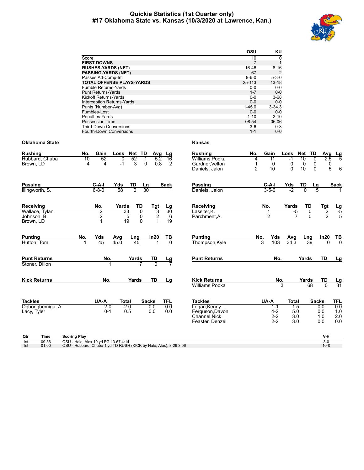# **Quickie Statistics (1st Quarter only) #17 Oklahoma State vs. Kansas (10/3/2020 at Lawrence, Kan.)**



|                                   | OSU         | KU          |
|-----------------------------------|-------------|-------------|
| Score                             | 10          | $\Omega$    |
| <b>FIRST DOWNS</b>                |             | 1           |
| <b>RUSHES-YARDS (NET)</b>         | 16-46       | $8 - 16$    |
| <b>PASSING-YARDS (NET)</b>        | 67          | 2           |
| Passes Att-Comp-Int               | $9 - 6 - 0$ | $5 - 3 - 0$ |
| <b>TOTAL OFFENSE PLAYS-YARDS</b>  | 25-113      | $13 - 18$   |
| Fumble Returns-Yards              | $0 - 0$     | $0 - 0$     |
| <b>Punt Returns-Yards</b>         | $1 - 7$     | $0 - 0$     |
| Kickoff Returns-Yards             | $0 - 0$     | $3 - 68$    |
| <b>Interception Returns-Yards</b> | $0 - 0$     | $0 - 0$     |
| Punts (Number-Avg)                | $1 - 45.0$  | $3 - 34.3$  |
| Fumbles-Lost                      | $0 - 0$     | $0 - 0$     |
| Penalties-Yards                   | $1 - 10$    | $2 - 10$    |
| Possession Time                   | 08:54       | 06:06       |
| <b>Third-Down Conversions</b>     | $3-6$       | $0 - 3$     |
| Fourth-Down Conversions           | $1 - 1$     | $0 - 0$     |

# **Oklahoma State Kansas**

| <b>Rushing</b>                        |                 | No.                                                                                                       | Gain                            | Loss        | Net TD                               | Avg             | Lg                   | <b>Rushing</b>                                                      | No.                      | Gain                                     | Loss                     | Net                        | TD                              | Avg                  | $\frac{\text{Lg}}{5}$    |
|---------------------------------------|-----------------|-----------------------------------------------------------------------------------------------------------|---------------------------------|-------------|--------------------------------------|-----------------|----------------------|---------------------------------------------------------------------|--------------------------|------------------------------------------|--------------------------|----------------------------|---------------------------------|----------------------|--------------------------|
| Brown, LD                             | Hubbard, Chuba  | 10<br>4                                                                                                   | 52<br>$\overline{4}$            | 0<br>$-1$   | 52<br>3                              | 5.2<br>0.8<br>0 | $\overline{16}$<br>2 | Williams.Pooka<br>Gardner, Velton<br>Daniels, Jalon                 | 4<br>1<br>$\overline{2}$ | $\overline{11}$<br>0<br>10               | $-1$<br>0<br>$\Omega$    | $\overline{10}$<br>0<br>10 | $\overline{0}$<br>0<br>$\Omega$ | 2.5<br>0<br>5        | 6                        |
| <b>Passing</b><br>Illingworth, S.     |                 |                                                                                                           | $C-A-I$<br>$6 - 8 - 0$          | Yds<br>58   | TD<br>$\overline{0}$                 | Lg<br>30        | Sack                 | Passing<br>Daniels, Jalon                                           |                          | $C-A-I$<br>$3 - 5 - 0$                   | Yds<br>$-2$              | TD<br>$\overline{0}$       | Lg                              |                      | <b>Sack</b>              |
| Receiving                             | Wallace, Tylan  |                                                                                                           | No.                             | Yards<br>33 | TD<br>0                              | Tgt             | <u>Lg</u><br>30      | Receiving<br>Lassiter, K.                                           |                          | No.<br>1                                 | Yards<br>$-5$            | TD                         | 0                               | Tgt                  | $\frac{Lg}{-5}$          |
| Johnson, B.<br>Brown, LD              |                 |                                                                                                           | $\frac{2}{2}$<br>$\overline{1}$ | 5<br>19     | $\begin{matrix} 0 \\ 0 \end{matrix}$ | $\frac{3}{2}$   | 6<br>19              | Parchment, A.                                                       |                          | $\overline{2}$                           | $\overline{7}$           |                            | $\Omega$                        | $\frac{2}{2}$        | 5                        |
| <b>Punting</b><br>Hutton, Tom         |                 | No.                                                                                                       | Yds<br>45                       | Avg<br>45.0 | Lng<br>$\overline{45}$               | In20            | $\frac{TB}{0}$       | <b>Punting</b><br>Thompson, Kyle                                    |                          | Yds<br>No.<br>103<br>3                   | Avg<br>34.3              | Lng                        | $\overline{39}$                 | In20<br>$\Omega$     | $\frac{TB}{0}$           |
| <b>Punt Returns</b><br>Stoner, Dillon |                 |                                                                                                           | No.                             |             | Yards                                | TD              | <u>Lg</u>            | <b>Punt Returns</b>                                                 |                          | No.                                      |                          | Yards                      |                                 | TD                   | Lg                       |
| <b>Kick Returns</b>                   |                 |                                                                                                           | No.                             |             | Yards                                | TD              | Lg                   | <b>Kick Returns</b><br>Williams, Pooka                              |                          | No.                                      | 3                        | Yards                      | 68                              | TD<br>$\overline{0}$ | $\frac{\text{Lg}}{31}$   |
| <b>Tackles</b>                        |                 |                                                                                                           | UA-A                            | Total       |                                      | <b>Sacks</b>    | <b>TFL</b>           | <b>Tackles</b>                                                      |                          | UA-A                                     | <b>Total</b>             |                            | <b>Sacks</b>                    |                      | <b>TFL</b>               |
| Lacy, Tyler                           | Ogbongbemiga, A |                                                                                                           | $2 - 0$<br>$0 - 1$              | 2.0<br>0.5  |                                      | 0.0<br>0.0      | 0.0<br>0.0           | Logan, Kenny<br>Ferguson, Davon<br>Channel, Nick<br>Feaster, Denzel |                          | $1 - 1$<br>$4 - 2$<br>$2 - 2$<br>$2 - 2$ | 1.5<br>5.0<br>3.0<br>3.0 |                            | 0.0<br>0.0<br>1.0<br>0.0        |                      | 0.0<br>1.0<br>2.0<br>0.0 |
| Qtr                                   | Time            | <b>Scoring Play</b>                                                                                       |                                 |             |                                      |                 |                      |                                                                     |                          |                                          |                          |                            |                                 | V-H                  |                          |
| 1st<br>1st                            | 09:36<br>01:00  | OSU - Hale, Alex 19 yd FG 13-67 4:14<br>OSU - Hubbard, Chuba 1 yd TD RUSH (KICK by Hale, Alex), 8-29 3:06 |                                 |             |                                      |                 |                      |                                                                     |                          |                                          |                          |                            |                                 | $3-0$<br>$10 - 0$    |                          |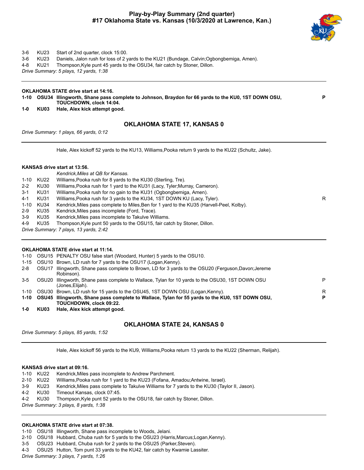# **Play-by-Play Summary (2nd quarter) #17 Oklahoma State vs. Kansas (10/3/2020 at Lawrence, Kan.)**



**P**

# 3-6 KU23 Start of 2nd quarter, clock 15:00.

- 3-6 KU23 Daniels, Jalon rush for loss of 2 yards to the KU21 (Bundage, Calvin;Ogbongbemiga, Amen).
- 4-8 KU21 Thompson,Kyle punt 45 yards to the OSU34, fair catch by Stoner, Dillon.

*Drive Summary: 5 plays, 12 yards, 1:38*

# **OKLAHOMA STATE drive start at 14:16.**

- **1-10 OSU34 Illingworth, Shane pass complete to Johnson, Braydon for 66 yards to the KU0, 1ST DOWN OSU, TOUCHDOWN, clock 14:04.**
- **1-0 KU03 Hale, Alex kick attempt good.**

# **OKLAHOMA STATE 17, KANSAS 0**

*Drive Summary: 1 plays, 66 yards, 0:12*

Hale, Alex kickoff 52 yards to the KU13, Williams,Pooka return 9 yards to the KU22 (Schultz, Jake).

# **KANSAS drive start at 13:56.**

|         |           | Kendrick, Miles at QB for Kansas.                                                         |   |
|---------|-----------|-------------------------------------------------------------------------------------------|---|
|         | 1-10 KU22 | Williams, Pooka rush for 8 yards to the KU30 (Sterling, Tre).                             |   |
| $2 - 2$ | KU30      | Williams, Pooka rush for 1 yard to the KU31 (Lacy, Tyler; Murray, Cameron).               |   |
| $3-1$   | KU31      | Williams, Pooka rush for no gain to the KU31 (Ogbongbemiga, Amen).                        |   |
| $4 - 1$ | KU31      | Williams, Pooka rush for 3 yards to the KU34, 1ST DOWN KU (Lacy, Tyler).                  | R |
|         | 1-10 KU34 | Kendrick, Miles pass complete to Miles, Ben for 1 yard to the KU35 (Harvell-Peel, Kolby). |   |
| $2-9$   | KU35      | Kendrick, Miles pass incomplete (Ford, Trace).                                            |   |
| $3-9$   | KU35      | Kendrick, Miles pass incomplete to Takulve Williams.                                      |   |
| 4-9     | KU35      | Thompson, Kyle punt 50 yards to the OSU15, fair catch by Stoner, Dillon.                  |   |
|         |           | Drive Summary: 7 plays, 13 yards, 2:42                                                    |   |

# **OKLAHOMA STATE drive start at 11:14.**

| 1-10    |       | OSU15 PENALTY OSU false start (Woodard, Hunter) 5 yards to the OSU10.                                                           |   |
|---------|-------|---------------------------------------------------------------------------------------------------------------------------------|---|
|         |       | 1-15 OSU10 Brown, LD rush for 7 yards to the OSU17 (Logan, Kenny).                                                              |   |
| $2 - 8$ | OSU17 | Illingworth, Shane pass complete to Brown, LD for 3 yards to the OSU20 (Ferguson, Davon; Jereme<br>Robinson).                   |   |
| $3-5$   | OSU20 | Illingworth, Shane pass complete to Wallace, Tylan for 10 yards to the OSU30, 1ST DOWN OSU<br>(Jones Elijah).                   | P |
| 1-10    |       | OSU30 Brown, LD rush for 15 yards to the OSU45, 1ST DOWN OSU (Logan, Kenny).                                                    | R |
|         |       | 1-10 OSU45 Illingworth, Shane pass complete to Wallace, Tylan for 55 yards to the KU0, 1ST DOWN OSU,<br>TOUCHDOWN, clock 09:22. | P |
| $1 - 0$ | KU03  | Hale, Alex kick attempt good.                                                                                                   |   |

*Drive Summary: 5 plays, 85 yards, 1:52*

# **OKLAHOMA STATE 24, KANSAS 0**

Hale, Alex kickoff 56 yards to the KU9, Williams,Pooka return 13 yards to the KU22 (Sherman, Relijah).

# **KANSAS drive start at 09:16.**

|       | 1-10 KU22                             | Kendrick, Miles pass incomplete to Andrew Parchment.                                          |  |  |  |  |
|-------|---------------------------------------|-----------------------------------------------------------------------------------------------|--|--|--|--|
|       | 2-10 KU22                             | Williams, Pooka rush for 1 yard to the KU23 (Fofana, Amadou; Antwine, Israel).                |  |  |  |  |
| $3-9$ | KU23                                  | Kendrick, Miles pass complete to Takulve Williams for 7 yards to the KU30 (Taylor II, Jason). |  |  |  |  |
| 4-2   | KU30                                  | Timeout Kansas, clock 07:45.                                                                  |  |  |  |  |
| 4-2   | KU30                                  | Thompson, Kyle punt 52 yards to the OSU18, fair catch by Stoner, Dillon.                      |  |  |  |  |
|       | Drive Summary: 3 plays, 8 yards, 1:38 |                                                                                               |  |  |  |  |

# **OKLAHOMA STATE drive start at 07:38.**

1-10 OSU18 Illingworth, Shane pass incomplete to Woods, Jelani.

- 2-10 OSU18 Hubbard, Chuba rush for 5 yards to the OSU23 (Harris,Marcus;Logan,Kenny).
- 3-5 OSU23 Hubbard, Chuba rush for 2 yards to the OSU25 (Parker,Steven).

4-3 OSU25 Hutton, Tom punt 33 yards to the KU42, fair catch by Kwamie Lassiter.

*Drive Summary: 3 plays, 7 yards, 1:26*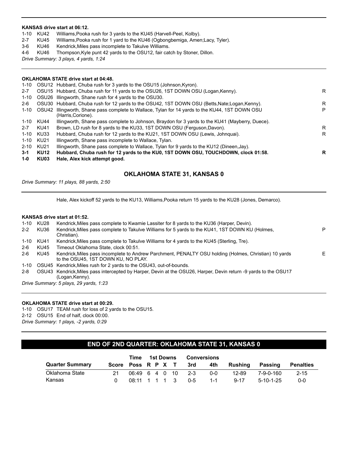### **KANSAS drive start at 06:12.**

- 1-10 KU42 Williams,Pooka rush for 3 yards to the KU45 (Harvell-Peel, Kolby).
- 2-7 KU45 Williams,Pooka rush for 1 yard to the KU46 (Ogbongbemiga, Amen;Lacy, Tyler).
- 3-6 KU46 Kendrick,Miles pass incomplete to Takulve Williams.
- 4-6 KU46 Thompson,Kyle punt 42 yards to the OSU12, fair catch by Stoner, Dillon.

*Drive Summary: 3 plays, 4 yards, 1:24*

| <b>OKLAHOMA STATE drive start at 04:48.</b> |                                                                                                                     |                                                                                                                                                                                                                                                                                                                             |  |  |
|---------------------------------------------|---------------------------------------------------------------------------------------------------------------------|-----------------------------------------------------------------------------------------------------------------------------------------------------------------------------------------------------------------------------------------------------------------------------------------------------------------------------|--|--|
|                                             |                                                                                                                     |                                                                                                                                                                                                                                                                                                                             |  |  |
|                                             |                                                                                                                     | R                                                                                                                                                                                                                                                                                                                           |  |  |
|                                             |                                                                                                                     |                                                                                                                                                                                                                                                                                                                             |  |  |
|                                             |                                                                                                                     | R                                                                                                                                                                                                                                                                                                                           |  |  |
|                                             | Illingworth, Shane pass complete to Wallace, Tylan for 14 yards to the KU44, 1ST DOWN OSU<br>(Harris, Corione).     | P                                                                                                                                                                                                                                                                                                                           |  |  |
|                                             | Illingworth, Shane pass complete to Johnson, Braydon for 3 yards to the KU41 (Mayberry, Duece).                     |                                                                                                                                                                                                                                                                                                                             |  |  |
| KU41                                        | Brown, LD rush for 8 yards to the KU33, 1ST DOWN OSU (Ferguson, Davon).                                             | R                                                                                                                                                                                                                                                                                                                           |  |  |
|                                             | Hubbard, Chuba rush for 12 yards to the KU21, 1ST DOWN OSU (Lewis, Johnguai).                                       | R                                                                                                                                                                                                                                                                                                                           |  |  |
|                                             | Illingworth, Shane pass incomplete to Wallace, Tylan.                                                               |                                                                                                                                                                                                                                                                                                                             |  |  |
|                                             | Illingworth, Shane pass complete to Wallace, Tylan for 9 yards to the KU12 (Dineen, Jay).                           |                                                                                                                                                                                                                                                                                                                             |  |  |
| <b>KU12</b><br>KU03                         | Hubbard, Chuba rush for 12 yards to the KU0, 1ST DOWN OSU, TOUCHDOWN, clock 01:58.<br>Hale, Alex kick attempt good. | R                                                                                                                                                                                                                                                                                                                           |  |  |
|                                             | 1-10 OSU42<br>KU44<br>KU33<br>KU21<br>KU21                                                                          | 1-10 OSU12 Hubbard, Chuba rush for 3 yards to the OSU15 (Johnson, Kyron).<br>OSU15 Hubbard, Chuba rush for 11 yards to the OSU26, 1ST DOWN OSU (Logan, Kenny).<br>OSU26 Illingworth, Shane rush for 4 yards to the OSU30.<br>OSU30 Hubbard, Chuba rush for 12 yards to the OSU42, 1ST DOWN OSU (Betts, Nate; Logan, Kenny). |  |  |

# **OKLAHOMA STATE 31, KANSAS 0**

*Drive Summary: 11 plays, 88 yards, 2:50*

Hale, Alex kickoff 52 yards to the KU13, Williams,Pooka return 15 yards to the KU28 (Jones, Demarco).

# **KANSAS drive start at 01:52.**

| 1-10    | KU28                                   | Kendrick, Miles pass complete to Kwamie Lassiter for 8 yards to the KU36 (Harper, Devin).                                                    |   |  |  |
|---------|----------------------------------------|----------------------------------------------------------------------------------------------------------------------------------------------|---|--|--|
| $2 - 2$ | KU36                                   | Kendrick, Miles pass complete to Takulve Williams for 5 yards to the KU41, 1ST DOWN KU (Holmes,<br>Christian).                               | P |  |  |
| 1-10    | KU41                                   | Kendrick, Miles pass complete to Takulve Williams for 4 yards to the KU45 (Sterling, Tre).                                                   |   |  |  |
| $2-6$   | KU45                                   | Timeout Oklahoma State, clock 00:51.                                                                                                         |   |  |  |
| $2-6$   | KU45                                   | Kendrick, Miles pass incomplete to Andrew Parchment, PENALTY OSU holding (Holmes, Christian) 10 yards<br>to the OSU45, 1ST DOWN KU, NO PLAY. | Е |  |  |
| 1-10    |                                        | OSU45 Kendrick, Miles rush for 2 yards to the OSU43, out-of-bounds.                                                                          |   |  |  |
| $2 - 8$ |                                        | OSU43 Kendrick, Miles pass intercepted by Harper, Devin at the OSU26, Harper, Devin return -9 yards to the OSU17<br>(Logan, Kenny).          |   |  |  |
|         | Drive Summary: 5 plays, 29 yards, 1:23 |                                                                                                                                              |   |  |  |

# **OKLAHOMA STATE drive start at 00:29.**

1-10 OSU17 TEAM rush for loss of 2 yards to the OSU15. 2-12 OSU15 End of half, clock 00:00. *Drive Summary: 1 plays, -2 yards, 0:29*

# **END OF 2ND QUARTER: OKLAHOMA STATE 31, KANSAS 0**

|                        |                    | Time           |  | <b>1st Downs</b> | Conversions |            |          |             |                  |
|------------------------|--------------------|----------------|--|------------------|-------------|------------|----------|-------------|------------------|
| <b>Quarter Summary</b> | Score Poss R P X T |                |  |                  | 3rd         | 4th        | Rushina  | Passing     | <b>Penalties</b> |
| Oklahoma State         | 21                 | 06:49 6 4 0 10 |  |                  | - 2-3       | <u>ດ-ດ</u> | 12-89    | 7-9-0-160   | $2 - 15$         |
| Kansas                 |                    | 08:11 1 1 1 3  |  |                  | 0-5         | -1-1       | $9 - 17$ | $5-10-1-25$ | $0 - 0$          |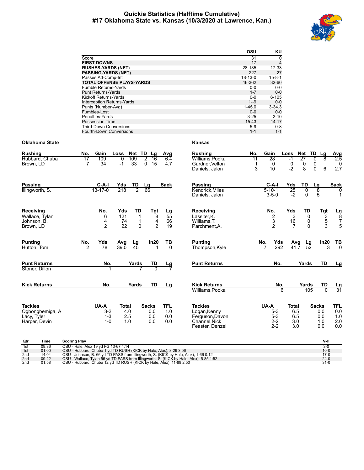# **Quickie Statistics (Halftime Cumulative) #17 Oklahoma State vs. Kansas (10/3/2020 at Lawrence, Kan.)**



|                 |                                                                                 | osu<br>ΚU                                                                 |
|-----------------|---------------------------------------------------------------------------------|---------------------------------------------------------------------------|
|                 | Score                                                                           | $\pmb{0}$<br>31                                                           |
|                 | <b>FIRST DOWNS</b>                                                              | 17<br>$\overline{4}$                                                      |
|                 | <b>RUSHES-YARDS (NET)</b>                                                       | 28-135<br>17-33                                                           |
|                 | <b>PASSING-YARDS (NET)</b>                                                      | 227<br>27                                                                 |
|                 | Passes Att-Comp-Int                                                             | 18-13-0<br>$15 - 8 - 1$                                                   |
|                 | TOTAL OFFENSE PLAYS-YARDS                                                       | 46-362<br>32-60                                                           |
|                 | Fumble Returns-Yards                                                            | $0-0$<br>$0-0$                                                            |
|                 | <b>Punt Returns-Yards</b>                                                       | $1 - 7$<br>$0-0$                                                          |
|                 | Kickoff Returns-Yards                                                           | $0-0$<br>$6 - 105$                                                        |
|                 | Interception Returns-Yards                                                      | $1 - 9$<br>$0-0$                                                          |
|                 | Punts (Number-Avg)                                                              | $1 - 45.0$<br>$3 - 34.3$                                                  |
|                 | Fumbles-Lost                                                                    | $0-0$<br>$0-0$                                                            |
|                 | Penalties-Yards                                                                 | $3 - 25$<br>$2 - 10$                                                      |
|                 | Possession Time                                                                 | 15:43<br>14:17                                                            |
|                 | <b>Third-Down Conversions</b>                                                   | $5-9$<br>$0 - 8$                                                          |
|                 | Fourth-Down Conversions                                                         | $1 - 1$<br>$1 - 1$                                                        |
| Oklahoma State  | <b>Kansas</b>                                                                   |                                                                           |
| Rushing         | Gain<br>Net TD Lg<br><b>Rushing</b><br>No.<br>Loss<br>Avg                       | No.<br>Gain<br>Net TD<br>Loss<br>Lg<br>Avg                                |
| Hubbard, Chuba  | Williams, Pooka<br>17<br>109<br>109<br>2<br>16<br>6.4<br>0                      | 11<br>28<br>27<br>0<br>8<br>2.5<br>-1                                     |
| Brown. LD       | $\overline{7}$<br>34<br>33<br>0 <sub>15</sub><br>$-1$<br>4.7<br>Gardner, Velton | $\mathbf 0$<br>$\mathbf 0$<br>0<br>0<br>$\mathbf{1}$<br>0                 |
|                 | Daniels, Jalon                                                                  | 3<br>$-2$<br>8<br>6<br>2.7<br>10<br>0                                     |
|                 |                                                                                 |                                                                           |
|                 |                                                                                 |                                                                           |
| Passing         | C-A-I<br>Yds<br>TD<br><b>Passing</b><br>Lg<br>Sack<br>218<br>$\overline{2}$     | C-A-I<br>Yds<br>TD<br>Lg<br>Sack<br>$5 - 10 - 1$<br>$\mathbf 0$           |
| Illingworth, S. | $13 - 17 - 0$<br>66<br>Kendrick, Miles<br>Daniels, Jalon                        | $\overline{25}$<br>8<br>0<br>5<br>$-2$<br>$3 - 5 - 0$<br>0<br>$\mathbf 1$ |
| Receiving       | No.<br>Yds<br>TD<br><b>Tgt</b><br>Receiving<br>Lg                               | No.<br>Yds<br>TD<br>Tgt                                                   |
| Wallace, Tylan  | 121<br>55<br>Lassiter, K.<br>6<br>8                                             | $\frac{Lg}{8}$<br>2<br>3<br>0<br>3                                        |
|                 | 74<br>1<br>4<br>66<br>Williams, T.                                              | 5<br>3<br>$\mathbf 0$<br>$\boldsymbol{7}$<br>16                           |
| Johnson, B.     | 4<br>$\overline{2}$<br>$\overline{2}$<br>22<br>$\Omega$<br>19                   | $\overline{2}$<br>3<br>5<br>$\overline{7}$<br>$\Omega$                    |
| Brown, LD       | Parchment, A.                                                                   |                                                                           |
| Punting         | No.<br>Yds<br>ln20<br>ΤВ<br><b>Punting</b><br>Avg<br>Lg                         | No.<br>Yds<br>ln20<br>Avg<br>Lg<br>TВ                                     |
| Hutton, Tom     | $\mathcal{P}$<br>78<br>39.0<br>45<br>$\Omega$<br>Thompson, Kyle                 | 292<br>41.7<br>52<br>$\Omega$<br>3                                        |
|                 |                                                                                 |                                                                           |
| Punt Returns    | No.<br>Yards<br>TD<br><b>Punt Returns</b>                                       | TD<br>No.<br>Yards<br>Lg                                                  |
| Stoner, Dillon  | $\frac{Lg}{7}$                                                                  |                                                                           |
|                 |                                                                                 |                                                                           |
| Kick Returns    | No.<br>Yards<br>TD<br><b>Kick Returns</b><br>Lg                                 | Yards<br>TD<br>No.<br><u>Lg</u>                                           |
|                 | Williams, Pooka                                                                 | $\overline{31}$<br>$\Omega$<br>6<br>105                                   |
|                 |                                                                                 |                                                                           |
| Tackles         | UA-A<br><b>Tackles</b><br>Total<br><b>Sacks</b><br>TFL                          | UA-A<br>Total<br><b>Sacks</b><br><b>TFL</b>                               |
| Ogbongbemiga, A | 1.0<br>Logan, Kenny<br>$3-2$<br>4.0<br>0.0                                      | 0.0<br>$5-3$<br>6.5<br>0.0                                                |
| Lacy, Tyler     | 2.5<br>1-3<br>0.0<br>0.0<br>Ferguson, Davon                                     | $5 - 3$<br>6.5<br>0.0<br>1.0                                              |
| Harper, Devin   | $1 - 0$<br>1.0<br>0.0<br>0.0<br>Channel, Nick                                   | 2.0<br>$2 - 2$<br>3.0<br>1.0                                              |
|                 | Feaster, Denzel                                                                 | $2 - 2$<br>3.0<br>0.0<br>0.0                                              |
|                 |                                                                                 |                                                                           |
|                 |                                                                                 |                                                                           |

| Qtr | Time  | <b>Scoring Play</b>                                                                     | V-H      |
|-----|-------|-----------------------------------------------------------------------------------------|----------|
| 1st | 09:36 | OSU - Hale, Alex 19 vd FG 13-67 4:14                                                    | $3-0$    |
| 1st | 01:00 | OSU - Hubbard, Chuba 1 yd TD RUSH (KICK by Hale, Alex), 8-29 3:06                       | $10 - 0$ |
| 2nd | 14:04 | OSU - Johnson, B, 66 vd TD PASS from Illingworth, S, (KICK by Hale, Alex), 1-66 0:12    | $17-0$   |
| 2nd | 09:22 | OSU - Wallace, Tylan 55 yd TD PASS from Illingworth, S. (KICK by Hale, Alex), 5-85 1:52 | $24-0$   |
| 2nd | 01:58 | OSU - Hubbard, Chuba 12 yd TD RUSH (KICK by Hale, Alex), 11-88 2:50                     | $31 - 0$ |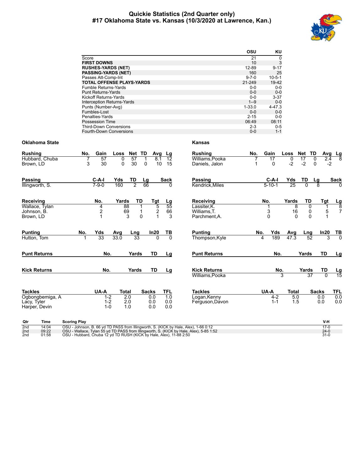# **Quickie Statistics (2nd Quarter only) #17 Oklahoma State vs. Kansas (10/3/2020 at Lawrence, Kan.)**



|                                   | OSU         | KU           |
|-----------------------------------|-------------|--------------|
| Score                             | 21          | 0            |
| <b>FIRST DOWNS</b>                | 10          | 3            |
| <b>RUSHES-YARDS (NET)</b>         | 12-89       | $9 - 17$     |
| <b>PASSING-YARDS (NET)</b>        | 160         | 25           |
| Passes Att-Comp-Int               | $9 - 7 - 0$ | $10 - 5 - 1$ |
| <b>TOTAL OFFENSE PLAYS-YARDS</b>  | 21-249      | 19-42        |
| <b>Fumble Returns-Yards</b>       | $0 - 0$     | $0-0$        |
| <b>Punt Returns-Yards</b>         | $0 - 0$     | $0-0$        |
| Kickoff Returns-Yards             | $0 - 0$     | $3 - 37$     |
| <b>Interception Returns-Yards</b> | $1 - 9$     | $0 - 0$      |
| Punts (Number-Avg)                | $1 - 33.0$  | $4 - 47.3$   |
| Fumbles-Lost                      | $0 - 0$     | $0 - 0$      |
| Penalties-Yards                   | $2 - 15$    | $0 - 0$      |
| Possession Time                   | 06:49       | 08:11        |
| <b>Third-Down Conversions</b>     | $2 - 3$     | $0 - 5$      |
| Fourth-Down Conversions           | $0 - 0$     | $1 - 1$      |

# **Oklahoma State Kansas**

| <b>Rushing</b>                                  | No.                 | Gain                          | Loss         | Net                  | TD                | Avg<br>Lg                          | Rushing                                                                                | No. | Gain                    | Loss           | Net TD                   | Avg                      |                               |
|-------------------------------------------------|---------------------|-------------------------------|--------------|----------------------|-------------------|------------------------------------|----------------------------------------------------------------------------------------|-----|-------------------------|----------------|--------------------------|--------------------------|-------------------------------|
| Hubbard, Chuba<br>Brown, LD                     | 3                   | 57<br>30                      | 0<br>0       | 57<br>30             | $\Omega$          | $\overline{12}$<br>8.1<br>15<br>10 | Williams, Pooka<br>Daniels, Jalon                                                      |     | 17<br>$\Omega$          | 0<br>$-2$      | 17<br>$-2$               | 0<br>2.4<br>$\mathbf{0}$ | $\frac{\text{Lg}}{8}$<br>$-2$ |
| <b>Passing</b><br>Illingworth, S.               |                     | $C-A-I$<br>$7 - 9 - 0$        | Yds<br>160   | TD<br>$\overline{2}$ | Lg<br>66          | <b>Sack</b><br>$\Omega$            | Passing<br>Kendrick, Miles                                                             |     | $C-A-I$<br>$5 - 10 - 1$ | Yds<br>25      | TD<br>$\overline{0}$     | Lg<br>$\overline{8}$     | <b>Sack</b>                   |
| Receiving<br>Wallace, Tylan                     |                     | No.                           | Yards<br>88  | TD                   | Tgt               | $\frac{\text{Lg}}{55}$             | Receiving<br>Lassiter.K.                                                               |     | No.                     | Yards<br>8     | TD<br>0                  | Tgt                      | $\frac{\text{Lg}}{8}$         |
| Johnson, B.<br>Brown, LD                        |                     | $\frac{4}{2}$<br>1            | 69<br>3      | $\Omega$             |                   | $\frac{5}{2}$<br>66<br>3           | Williams, T.<br>Parchment.A.                                                           |     | 3<br>$\mathbf 0$        | 16<br>$\Omega$ | 0<br>$\Omega$            | 5                        |                               |
| <b>Punting</b>                                  | No.                 | Yds                           | Avg          | Lng                  | In20              | $rac{TB}{0}$                       | <b>Punting</b>                                                                         | No. | Yds                     | Avg            | <u>Lng</u>               | In20                     | $\frac{TB}{0}$                |
| Hutton, Tom                                     |                     | 33                            | 33.0         | 33                   |                   | $\overline{0}$                     | Thompson, Kyle                                                                         |     | 189<br>4                | 47.3           | 52                       |                          | 3                             |
| <b>Punt Returns</b>                             |                     | No.                           |              | Yards                | <b>TD</b>         | Lg                                 | <b>Punt Returns</b>                                                                    |     | No.                     |                | Yards                    | TD                       | Lg                            |
| <b>Kick Returns</b>                             |                     | No.                           |              | Yards                | TD                | Lg                                 | <b>Kick Returns</b>                                                                    |     | No.                     | 3              | Yards<br>$\overline{37}$ | TD                       | $\frac{\text{Lg}}{15}$        |
|                                                 |                     |                               |              |                      |                   |                                    | Williams.Pooka                                                                         |     |                         |                |                          |                          |                               |
| <b>Tackles</b>                                  |                     | UA-A                          | <b>Total</b> |                      | <b>Sacks</b>      | TFL                                | <b>Tackles</b>                                                                         |     | UA-A                    | <b>Total</b>   |                          | <b>Sacks</b>             | <b>TFL</b>                    |
| Ogbongbemiga, A<br>Lacy, Tyler<br>Harper, Devin |                     | $1 - 2$<br>$1 - 2$<br>$1 - 0$ |              | 2.0<br>2.0<br>1.0    | 0.0<br>0.0<br>0.0 | 1.0<br>0.0<br>0.0                  | Logan, Kenny<br>Ferguson, Davon                                                        |     | $4 - 2$<br>$1 - 1$      | 5.0<br>1.5     |                          | 0.0<br>0.0               | 0.0<br>0.0                    |
| Time<br>Qtr                                     | <b>Scoring Play</b> |                               |              |                      |                   |                                    |                                                                                        |     |                         |                |                          | V-H                      |                               |
| 2nd<br>14.04                                    |                     |                               |              |                      |                   |                                    | $OSU - Johnson - B - 66$ vd TD PASS from Illingworth S. (KICK by Hale, Alex) 1-66 0:12 |     |                         |                |                          | $17-0$                   |                               |

2nd 14:04 OSU - Johnson, B. 66 yd TD PASS from Illingworth, S. (KICK by Hale, Alex), 1-66 0:12<br>2nd 09:22 OSU - Wallace, Tylan 55 yd TD PASS from Illingworth, S. (KICK by Hale, Alex), 5-85 1:52<br>2nd 01:58 OSU - H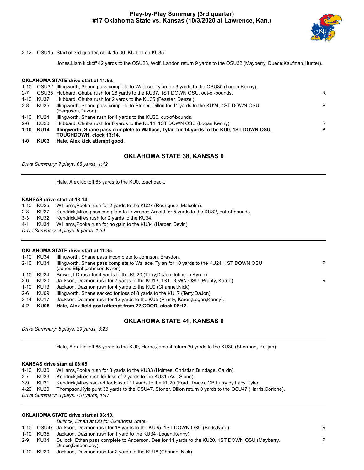

P

2-12 OSU15 Start of 3rd quarter, clock 15:00, KU ball on KU35.

Jones,Liam kickoff 42 yards to the OSU23, Wolf, Landon return 9 yards to the OSU32 (Mayberry, Duece;Kaufman,Hunter).

# **OKLAHOMA STATE drive start at 14:56.**

| 1-10    |                                              | OSU32 Illingworth, Shane pass complete to Wallace, Tylan for 3 yards to the OSU35 (Logan, Kenny). |   |
|---------|----------------------------------------------|---------------------------------------------------------------------------------------------------|---|
| $2 - 7$ |                                              | OSU35 Hubbard, Chuba rush for 28 yards to the KU37, 1ST DOWN OSU, out-of-bounds.                  | R |
| 1-10    | KU37                                         | Hubbard, Chuba rush for 2 yards to the KU35 (Feaster, Denzel).                                    |   |
| 2-8     | KU35                                         | Illingworth, Shane pass complete to Stoner, Dillon for 11 yards to the KU24, 1ST DOWN OSU         | P |
|         |                                              | (Ferguson, Davon).                                                                                |   |
| 1-10    | KU24                                         | Illingworth, Shane rush for 4 yards to the KU20, out-of-bounds.                                   |   |
| $2-6$   | KU20                                         | Hubbard, Chuba rush for 6 yards to the KU14, 1ST DOWN OSU (Logan, Kenny).                         | R |
|         | 1-10 KU14                                    | Illingworth, Shane pass complete to Wallace, Tylan for 14 yards to the KU0, 1ST DOWN OSU,         | P |
|         |                                              | <b>TOUCHDOWN. clock 13:14.</b>                                                                    |   |
|         | $\overline{1}$ $\overline{2}$ $\overline{1}$ | the best Address to be the contracted as a set                                                    |   |

**1-0 KU03 Hale, Alex kick attempt good.**

# **OKLAHOMA STATE 38, KANSAS 0**

*Drive Summary: 7 plays, 68 yards, 1:42*

Hale, Alex kickoff 65 yards to the KU0, touchback.

# **KANSAS drive start at 13:14.**

|                                       | 1-10 KU25 | Williams, Pooka rush for 2 yards to the KU27 (Rodriguez, Malcolm).                       |  |  |
|---------------------------------------|-----------|------------------------------------------------------------------------------------------|--|--|
| $2 - 8$                               | KU27      | Kendrick, Miles pass complete to Lawrence Arnold for 5 yards to the KU32, out-of-bounds. |  |  |
| $3 - 3$                               | KU32      | Kendrick, Miles rush for 2 yards to the KU34.                                            |  |  |
| 4-1                                   |           | KU34 Williams, Pooka rush for no gain to the KU34 (Harper, Devin).                       |  |  |
| Drive Summary: 4 plays, 9 yards, 1:39 |           |                                                                                          |  |  |
|                                       |           |                                                                                          |  |  |

# **OKLAHOMA STATE drive start at 11:35.**

|       | 1-10 KU34 | Illingworth, Shane pass incomplete to Johnson, Braydon.                                                                       |   |
|-------|-----------|-------------------------------------------------------------------------------------------------------------------------------|---|
|       | 2-10 KU34 | Illingworth, Shane pass complete to Wallace, Tylan for 10 yards to the KU24, 1ST DOWN OSU<br>(Jones, Elijah; Johnson, Kyron). | P |
|       | 1-10 KU24 | Brown, LD rush for 4 yards to the KU20 (Terry, DaJon; Johnson, Kyron).                                                        |   |
| 2-6   | KU20      | Jackson, Dezmon rush for 7 yards to the KU13, 1ST DOWN OSU (Prunty, Karon).                                                   | R |
|       | 1-10 KU13 | Jackson, Dezmon rush for 4 yards to the KU9 (Channel, Nick).                                                                  |   |
| $2-6$ | KU09      | Illingworth, Shane sacked for loss of 8 yards to the KU17 (Terry, DaJon).                                                     |   |
|       | 3-14 KU17 | Jackson, Dezmon rush for 12 yards to the KU5 (Prunty, Karon;Logan, Kenny).                                                    |   |

**4-2 KU05 Hale, Alex field goal attempt from 22 GOOD, clock 08:12.**

# **OKLAHOMA STATE 41, KANSAS 0**

*Drive Summary: 8 plays, 29 yards, 3:23*

Hale, Alex kickoff 65 yards to the KU0, Horne,Jamahl return 30 yards to the KU30 (Sherman, Relijah).

# **KANSAS drive start at 08:05.**

|                                         | 1-10 KU30 | Williams, Pooka rush for 3 yards to the KU33 (Holmes, Christian; Bundage, Calvin).                       |  |  |  |
|-----------------------------------------|-----------|----------------------------------------------------------------------------------------------------------|--|--|--|
| 2-7                                     | KU33      | Kendrick, Miles rush for loss of 2 yards to the KU31 (Asi, Sione).                                       |  |  |  |
| 3-9 KU31                                |           | Kendrick, Miles sacked for loss of 11 yards to the KU20 (Ford, Trace), QB hurry by Lacy, Tyler.          |  |  |  |
|                                         | 4-20 KU20 | Thompson. Kyle punt 33 yards to the OSU47, Stoner, Dillon return 0 yards to the OSU47 (Harris, Corione). |  |  |  |
| Drive Summary: 3 plays, -10 yards, 1:47 |           |                                                                                                          |  |  |  |

# **OKLAHOMA STATE drive start at 06:18.**

*Bullock, Ethan at QB for Oklahoma State.*

- 1-10 OSU47 Jackson, Dezmon rush for 18 yards to the KU35, 1ST DOWN OSU (Betts,Nate). R
- 1-10 KU35 Jackson, Dezmon rush for 1 yard to the KU34 (Logan,Kenny).
- 2-9 KU34 Bullock, Ethan pass complete to Anderson, Dee for 14 yards to the KU20, 1ST DOWN OSU (Mayberry, Duece;Dineen,Jay).
- 1-10 KU20 Jackson, Dezmon rush for 2 yards to the KU18 (Channel,Nick).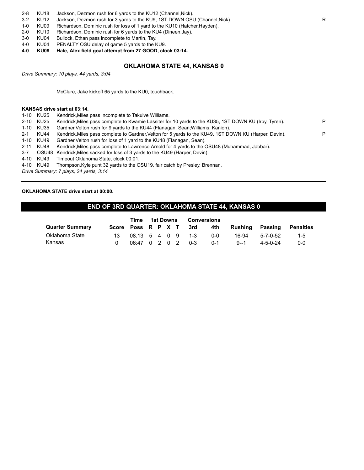| 2-8 |  | KU18 Jackson, Dezmon rush for 6 yards to the KU12 (Channel, Nick). |  |  |
|-----|--|--------------------------------------------------------------------|--|--|
|-----|--|--------------------------------------------------------------------|--|--|

3-2 KU12 Jackson, Dezmon rush for 3 yards to the KU9, 1ST DOWN OSU (Channel, Nick).

1-0 KU09 Richardson, Dominic rush for loss of 1 yard to the KU10 (Hatcher,Hayden).

2-0 KU10 Richardson, Dominic rush for 6 yards to the KU4 (Dineen,Jay).

3-0 KU04 Bullock, Ethan pass incomplete to Martin, Tay.

4-0 KU04 PENALTY OSU delay of game 5 yards to the KU9.

**4-0 KU09 Hale, Alex field goal attempt from 27 GOOD, clock 03:14.**

# **OKLAHOMA STATE 44, KANSAS 0**

*Drive Summary: 10 plays, 44 yards, 3:04*

McClure, Jake kickoff 65 yards to the KU0, touchback.

# **KANSAS drive start at 03:14.**

|         | 1-10 KU25 | Kendrick, Miles pass incomplete to Takulve Williams.                                                   |   |
|---------|-----------|--------------------------------------------------------------------------------------------------------|---|
|         | 2-10 KU25 | Kendrick, Miles pass complete to Kwamie Lassiter for 10 yards to the KU35, 1ST DOWN KU (Irby, Tyren).  | P |
|         | 1-10 KU35 | Gardner, Velton rush for 9 yards to the KU44 (Flanagan, Sean; Williams, Kanion).                       |   |
| $2 - 1$ | KU44      | Kendrick, Miles pass complete to Gardner, Velton for 5 yards to the KU49, 1ST DOWN KU (Harper, Devin). | P |
|         | 1-10 KU49 | Gardner, Velton rush for loss of 1 yard to the KU48 (Flanagan, Sean).                                  |   |
|         | 2-11 KU48 | Kendrick, Miles pass complete to Lawrence Arnold for 4 yards to the OSU48 (Muhammad, Jabbar).          |   |
| $3 - 7$ |           | OSU48 Kendrick, Miles sacked for loss of 3 yards to the KU49 (Harper, Devin).                          |   |
|         | 4-10 KU49 | Timeout Oklahoma State, clock 00:01.                                                                   |   |
|         | 4-10 KU49 | Thompson, Kyle punt 32 yards to the OSU19, fair catch by Presley, Brennan.                             |   |
|         |           | Drive Summary: 7 plays, 24 yards, 3:14                                                                 |   |
|         |           |                                                                                                        |   |

# **OKLAHOMA STATE drive start at 00:00.**

# **END OF 3RD QUARTER: OKLAHOMA STATE 44, KANSAS 0**

|                        | Time               |                                         | 1st Downs | <b>Conversions</b> |         |         |          |                  |                  |
|------------------------|--------------------|-----------------------------------------|-----------|--------------------|---------|---------|----------|------------------|------------------|
| <b>Quarter Summary</b> | Score Poss R P X T |                                         |           |                    | -3rd    | 4th     | Rushina  | Passing          | <b>Penalties</b> |
| Oklahoma State         | 13                 | $08:13 \quad 5 \quad 4 \quad 0 \quad 9$ |           |                    | $1 - 3$ | $0 - 0$ | 16-94    | 5-7-0-52         | $1 - 5$          |
| Kansas                 |                    | 06:47 0 2 0 2                           |           |                    | $0 - 3$ | $0 - 1$ | $9 - -1$ | $4 - 5 - 0 - 24$ | 0-0              |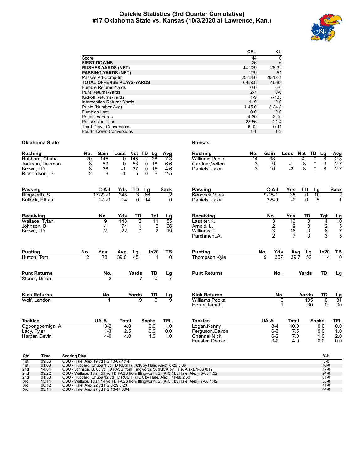# **Quickie Statistics (3rd Quarter Cumulative) #17 Oklahoma State vs. Kansas (10/3/2020 at Lawrence, Kan.)**



|                                   | OSU        | KU            |
|-----------------------------------|------------|---------------|
| Score                             | 44         | 0             |
| <b>FIRST DOWNS</b>                | 26         | 6             |
| <b>RUSHES-YARDS (NET)</b>         | 44-229     | 26-32         |
| <b>PASSING-YARDS (NET)</b>        | 279        | 51            |
| Passes Att-Comp-Int               | $25-18-0$  | $20 - 12 - 1$ |
| <b>TOTAL OFFENSE PLAYS-YARDS</b>  | 69-508     | 46-83         |
| <b>Fumble Returns-Yards</b>       | $0 - 0$    | $0-0$         |
| <b>Punt Returns-Yards</b>         | $2 - 7$    | $0-0$         |
| <b>Kickoff Returns-Yards</b>      | $1 - 9$    | $7 - 135$     |
| <b>Interception Returns-Yards</b> | $1 - 9$    | $0 - 0$       |
| Punts (Number-Avg)                | $1 - 45.0$ | $3 - 34.3$    |
| Fumbles-Lost                      | $0 - 0$    | $0 - 0$       |
| Penalties-Yards                   | $4 - 30$   | $2 - 10$      |
| Possession Time                   | 23:56      | 21:4          |
| <b>Third-Down Conversions</b>     | $6 - 12$   | $0 - 11$      |
| <b>Fourth-Down Conversions</b>    | $1 - 1$    | $1 - 2$       |
|                                   |            |               |

# **Oklahoma State Kansas**

| No.                                                             |                               |                                                       |                                                  |                                                                                 |                                              |                                                                                      | No.                 |                                                        |                     |                                                                                                                |                                    |                                                        |                                                                                                                   |
|-----------------------------------------------------------------|-------------------------------|-------------------------------------------------------|--------------------------------------------------|---------------------------------------------------------------------------------|----------------------------------------------|--------------------------------------------------------------------------------------|---------------------|--------------------------------------------------------|---------------------|----------------------------------------------------------------------------------------------------------------|------------------------------------|--------------------------------------------------------|-------------------------------------------------------------------------------------------------------------------|
| $\overline{20}$<br>$\begin{array}{c}\n8 \\ 8 \\ 2\n\end{array}$ | 145<br>53<br>38<br>6          | $\Omega$<br>0<br>$-1$<br>$-1$                         | 145<br>53<br>37<br>5                             | $\overline{2}$<br>28<br>$\mathbf 0$<br>18<br>15<br>$\mathbf 0$<br>$\Omega$<br>6 | $\overline{7.3}$<br>6.6<br>4.6<br>2.5        | Williams, Pooka<br>Gardner, Velton<br>Daniels, Jalon                                 | 14<br>$\frac{3}{3}$ | 33<br>9<br>10                                          |                     | $-1$<br>$-1$<br>$-2$                                                                                           | $\overline{8}$                     | 8<br>$\overline{0}$<br>$\frac{9}{6}$<br>0<br>0         | $\frac{\text{Avg}}{2.3}$<br>$2.7$<br>2.7                                                                          |
|                                                                 | $C-A-I$<br>$1 - 2 - 0$        | Yds<br>248<br>14                                      | TD<br>3<br>$\mathbf{0}$                          | Lg<br>66<br>14                                                                  | <b>Sack</b><br>2<br>$\Omega$                 | Passing<br>Kendrick.Miles<br>Daniels, Jalon                                          |                     |                                                        |                     | 35<br>$-2$                                                                                                     | TD<br>0<br>$\mathbf{0}$            | Lg<br>$\overline{10}$<br>5                             | <b>Sack</b><br>$\overline{2}$<br>$\mathbf{1}$                                                                     |
|                                                                 | No.<br>9<br>$\frac{4}{2}$     | Yds<br>148<br>$\begin{array}{c} 74 \\ 22 \end{array}$ | TD<br>$\overline{2}$<br>$\mathbf{1}$<br>$\Omega$ | Tgt<br>11<br>$\frac{5}{2}$                                                      | $\frac{Lg}{55}$<br>66<br>19                  | Receiving<br>Lassiter.K.<br>Arnold. L.<br>Williams.T.<br>Parchment.A.                |                     | No.<br>$\begin{array}{c} 3 \\ 2 \\ 3 \\ 2 \end{array}$ |                     | 13<br>$\frac{9}{16}$<br>$\overline{7}$                                                                         |                                    | Tgt<br>$\begin{array}{c} 4 \\ 2 \\ 6 \end{array}$<br>3 | $\frac{\text{Lg}}{10}$<br>5<br>7<br>5<br>5                                                                        |
| No.<br>2                                                        | Yds<br>78                     | Avg<br>39.0                                           | $\frac{\text{Lg}}{45}$                           |                                                                                 | TВ<br>70                                     | <b>Punting</b><br>Thompson, Kyle                                                     |                     | $\overline{9}$                                         |                     | 39.7                                                                                                           |                                    | In20                                                   | TВ<br>70<br>4                                                                                                     |
|                                                                 | No.<br>$\overline{2}$         |                                                       |                                                  | TD                                                                              | $\frac{Lg}{7}$                               | <b>Punt Returns</b>                                                                  |                     |                                                        |                     |                                                                                                                |                                    | <b>TD</b>                                              | Lg                                                                                                                |
|                                                                 | No.                           |                                                       | 9                                                | TD<br>$\overline{0}$                                                            | $\frac{Lg}{9}$                               | <b>Kick Returns</b><br>Williams.Pooka<br>Horne, Jamahl                               |                     |                                                        | 6<br>1              |                                                                                                                |                                    | TD<br>$\overline{0}$<br>$\mathbf 0$                    | $\frac{Lg}{31}$<br>30                                                                                             |
|                                                                 | $3 - 2$<br>$1 - 3$<br>$4 - 0$ |                                                       |                                                  | 0.0<br>0.0<br>1.0                                                               | <b>TFL</b><br>$\overline{1.0}$<br>0.0<br>1.0 | <b>Tackles</b><br>Logan, Kenny<br>Ferguson, Davon<br>Channel.Nick<br>Feaster, Denzel |                     |                                                        |                     | 10.0<br>7.5<br>7.0<br>4.0                                                                                      |                                    | 0.0<br>0.0<br>1.0<br>0.0                               | <b>TFL</b><br>0.0<br>1.0<br>2.0<br>0.0                                                                            |
|                                                                 |                               | Gain<br>$17 - 22 - 0$<br>UA-A                         | Loss                                             | <b>Total</b><br>4.0<br>2.5<br>4.0                                               | Net TD Lg<br>Yards<br>Yards<br><b>Sacks</b>  | Avg<br>In20                                                                          | <b>Rushing</b>      |                                                        | Gain<br>No.<br>UA-A | $C-A-I$<br>$9 - 15 - 1$<br>$3 - 5 - 0$<br>Yds<br>357<br>No.<br>No.<br>$8 - 4$<br>$6 - 3$<br>$6 - 2$<br>$3 - 2$ | Loss<br>Yds<br>Yds<br><b>Total</b> | Net<br>32<br>Avg                                       | TD<br>Lg<br>TD<br>0<br>0<br>0<br>$\Omega$<br>Lg<br>$\overline{52}$<br>Yards<br>Yards<br>105<br>30<br><b>Sacks</b> |

| Qtr             | Time  | <b>Scoring Play</b>                                                                     | V-H      |
|-----------------|-------|-----------------------------------------------------------------------------------------|----------|
| 1st             | 09:36 | OSU - Hale, Alex 19 vd FG 13-67 4:14                                                    | $3-0$    |
| 1st             | 01:00 | OSU - Hubbard, Chuba 1 yd TD RUSH (KICK by Hale, Alex), 8-29 3:06                       | $10 - 0$ |
| 2 <sub>nd</sub> | 14:04 | OSU - Johnson, B. 66 yd TD PASS from Illingworth, S. (KICK by Hale, Alex), 1-66 0:12    | $17-0$   |
| 2 <sub>nd</sub> | 09:22 | OSU - Wallace, Tylan 55 yd TD PASS from Illingworth, S. (KICK by Hale, Alex), 5-85 1:52 | $24-0$   |
| 2 <sub>nd</sub> | 01:58 | OSU - Hubbard, Chuba 12 yd TD RUSH (KICK by Hale, Alex), 11-88 2:50                     | $31 - 0$ |
| 3rd             | 13:14 | OSU - Wallace, Tylan 14 yd TD PASS from Illingworth, S. (KICK by Hale, Alex), 7-68 1:42 | $38-0$   |
| 3rd             | 08:12 | OSU - Hale, Alex 22 yd FG 8-29 3:23                                                     | $41-0$   |
| 3rd             | 03:14 | OSU - Hale, Alex 27 yd FG 10-44 3:04                                                    | $44-0$   |
|                 |       |                                                                                         |          |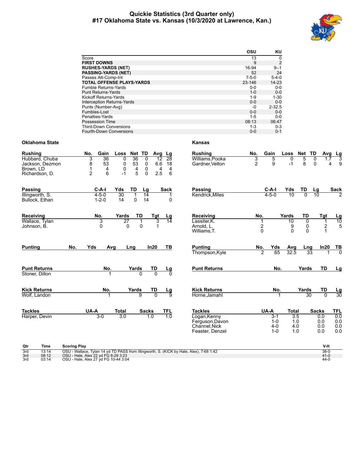# **Quickie Statistics (3rd Quarter only) #17 Oklahoma State vs. Kansas (10/3/2020 at Lawrence, Kan.)**



|                                   | OSU         | KU          |
|-----------------------------------|-------------|-------------|
| Score                             | 13          | 0           |
| <b>FIRST DOWNS</b>                | 9           | 2           |
| <b>RUSHES-YARDS (NET)</b>         | 16-94       | $9 - 1$     |
| <b>PASSING-YARDS (NET)</b>        | 52          | 24          |
| Passes Att-Comp-Int               | $7 - 5 - 0$ | $5 - 4 - 0$ |
| <b>TOTAL OFFENSE PLAYS-YARDS</b>  | $23 - 146$  | $14 - 23$   |
| Fumble Returns-Yards              | $0 - 0$     | $0 - 0$     |
| <b>Punt Returns-Yards</b>         | $1 - 0$     | $0 - 0$     |
| Kickoff Returns-Yards             | $1 - 9$     | $1 - 30$    |
| <b>Interception Returns-Yards</b> | $0 - 0$     | $0 - 0$     |
| Punts (Number-Avg)                | -0          | $2 - 32.5$  |
| Fumbles-Lost                      | $0 - 0$     | $0 - 0$     |
| Penalties-Yards                   | $1 - 5$     | $0 - 0$     |
| Possession Time                   | 08:13       | 06:47       |
| <b>Third-Down Conversions</b>     | $1 - 3$     | $0 - 3$     |
| <b>Fourth-Down Conversions</b>    | $0 - 0$     | $0 - 1$     |

# **Oklahoma State Kansas**

| <b>Rushing</b>                                                   | Gain<br>No.<br>TD<br>Loss<br>Net<br>Avg<br>Lg                                                                                                                                                                                | <b>Rushing</b>                                                     | No.                   | Gain                                     | Loss                                  | Net                             | TD<br>Avg                          |                                 |
|------------------------------------------------------------------|------------------------------------------------------------------------------------------------------------------------------------------------------------------------------------------------------------------------------|--------------------------------------------------------------------|-----------------------|------------------------------------------|---------------------------------------|---------------------------------|------------------------------------|---------------------------------|
| Hubbard, Chuba<br>Jackson, Dezmon<br>Brown, LD<br>Richardson, D. | 3<br>$\overline{36}$<br>36<br>$\mathbf 0$<br>0<br>28<br>12<br>53<br>8<br>$\mathbf 0$<br>53<br>0<br>6.6<br>18<br>1<br>$\overline{4}$<br>0<br>4<br>0<br>4<br>4<br>$\overline{2}$<br>5<br>6<br>$\mathbf{0}$<br>2.5<br>6<br>$-1$ | Williams, Pooka<br>Gardner, Velton                                 | $\frac{3}{2}$         | 5<br>9                                   | 0<br>$-1$                             | 5<br>8                          | 0<br>0                             | $\frac{Lg}{3}$<br>1.7<br>9<br>4 |
| <b>Passing</b>                                                   | TD<br>C-A-I<br>Yds<br><b>Sack</b><br>Lg                                                                                                                                                                                      | Passing                                                            |                       | C-A-I                                    | Yds                                   | TD                              | Lg                                 | <b>Sack</b>                     |
| Illingworth, S.<br>Bullock, Ethan                                | $4 - 5 - 0$<br>30<br>$\overline{14}$<br>1<br>1<br>$1 - 2 - 0$<br>14<br>0<br>14<br>0                                                                                                                                          | Kendrick, Miles                                                    |                       | $4 - 5 - 0$                              | 10                                    | $\overline{0}$                  | 10                                 |                                 |
| Receiving                                                        | No.<br>Yards<br>TD<br>Tgt<br>Lg                                                                                                                                                                                              | Receiving                                                          | No.                   |                                          | Yards                                 | TD                              | Tgt                                | $\frac{Lg}{10}$                 |
| Wallace, Tylan<br>Johnson, B.                                    | 3<br>$\overline{27}$<br>3<br>14<br>1<br>$\Omega$<br>$\mathbf{0}$<br>0<br>1                                                                                                                                                   | Lassiter.K.<br>Arnold, L.<br>Williams, T.                          | $\overline{2}$<br>0   |                                          | 10<br>9<br>0                          | $\mathbf 0$<br>0<br>$\mathbf 0$ | $\mathbf 1$<br>$\overline{c}$<br>1 | 5                               |
| <b>Punting</b>                                                   | No.<br>Yds<br>In20<br>TВ<br>Avg<br>Lng                                                                                                                                                                                       | <b>Punting</b><br>Thompson, Kyle                                   | No.<br>$\overline{2}$ | Yds<br>65                                | Avg<br>32.5                           | Lng<br>$\overline{33}$          | In20                               | TВ<br>70                        |
|                                                                  |                                                                                                                                                                                                                              |                                                                    |                       |                                          |                                       |                                 |                                    |                                 |
| <b>Punt Returns</b><br>Stoner, Dillon                            | No.<br>Yards<br>TD<br><u>Lg</u><br>$\overline{0}$                                                                                                                                                                            | <b>Punt Returns</b>                                                |                       | No.                                      |                                       | Yards                           | <b>TD</b>                          | Lg                              |
|                                                                  |                                                                                                                                                                                                                              |                                                                    |                       |                                          |                                       |                                 |                                    |                                 |
| <b>Kick Returns</b><br>Wolf. Landon                              | No.<br>Yards<br>TD<br>$\frac{Lg}{9}$<br>$\overline{0}$<br>9                                                                                                                                                                  | <b>Kick Returns</b><br>Horne, Jamahl                               |                       | No.                                      |                                       | Yards<br>$\overline{30}$        | TD<br>$\Omega$                     | $\frac{Lg}{30}$                 |
| <b>Tackles</b>                                                   | <b>TFL</b><br>UA-A<br><b>Total</b><br><b>Sacks</b>                                                                                                                                                                           | <b>Tackles</b>                                                     |                       | UA-A                                     | <b>Total</b>                          |                                 | <b>Sacks</b>                       | TFL                             |
| Harper, Devin                                                    | $\overline{1.0}$<br>3.0<br>$3-0$<br>1.0                                                                                                                                                                                      | Logan, Kenny<br>Ferguson, Davon<br>Channel.Nick<br>Feaster, Denzel |                       | $3 - 1$<br>$1 - 0$<br>$4 - 0$<br>$1 - 0$ | $\overline{3.5}$<br>1.0<br>4.0<br>1.0 |                                 | 0.0<br>0.0<br>0.0<br>0.0           | 0.0<br>0.0<br>0.0<br>0.0        |
| Qtr<br>Time                                                      | <b>Scoring Play</b>                                                                                                                                                                                                          |                                                                    |                       |                                          |                                       |                                 | V-H                                |                                 |
| 13:14<br>3rd<br>08:12<br>3rd                                     | OSU - Wallace, Tylan 14 yd TD PASS from Illingworth, S. (KICK by Hale, Alex), 7-68 1:42<br>OSU - Hale, Alex 22 yd FG 8-29 3:23                                                                                               |                                                                    |                       |                                          |                                       |                                 | $38-0$<br>$41 - 0$                 |                                 |
| 3rd<br>03:14                                                     | OSU - Hale, Alex 27 yd FG 10-44 3:04                                                                                                                                                                                         |                                                                    |                       |                                          |                                       |                                 | $44 - 0$                           |                                 |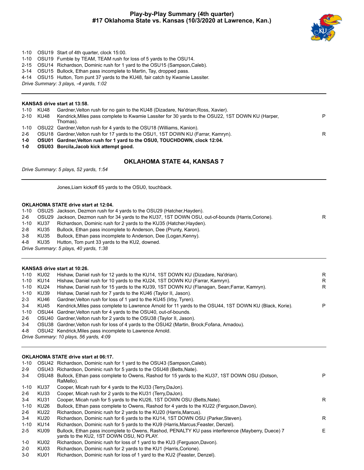# **Play-by-Play Summary (4th quarter) #17 Oklahoma State vs. Kansas (10/3/2020 at Lawrence, Kan.)**



- 1-10 OSU19 Start of 4th quarter, clock 15:00.
- 1-10 OSU19 Fumble by TEAM, TEAM rush for loss of 5 yards to the OSU14.
- 2-15 OSU14 Richardson, Dominic rush for 1 yard to the OSU15 (Sampson,Caleb).
- 3-14 OSU15 Bullock, Ethan pass incomplete to Martin, Tay, dropped pass.
- 4-14 OSU15 Hutton, Tom punt 37 yards to the KU48, fair catch by Kwamie Lassiter.
- *Drive Summary: 3 plays, -4 yards, 1:02*

# **KANSAS drive start at 13:58.**

|       | 1-10 KU48 | Gardner, Velton rush for no gain to the KU48 (Dizadare, Na'drian; Ross, Xavier).                 |   |
|-------|-----------|--------------------------------------------------------------------------------------------------|---|
|       | 2-10 KU48 | Kendrick, Miles pass complete to Kwamie Lassiter for 30 yards to the OSU22, 1ST DOWN KU (Harper, | P |
|       |           | Thomas).                                                                                         |   |
|       |           | 1-10 OSU22 Gardner, Velton rush for 4 yards to the OSU18 (Williams, Kanion).                     |   |
| $2-6$ |           | OSU18 Gardner, Velton rush for 17 yards to the OSU1, 1ST DOWN KU (Farrar, Kamryn).               | R |
| 1-0   |           | OSU01 Gardner, Velton rush for 1 yard to the OSU0, TOUCHDOWN, clock 12:04.                       |   |

**1-0 OSU03 Borcila,Jacob kick attempt good.**

# **OKLAHOMA STATE 44, KANSAS 7**

*Drive Summary: 5 plays, 52 yards, 1:54*

Jones,Liam kickoff 65 yards to the OSU0, touchback.

# **OKLAHOMA STATE drive start at 12:04.**

1-10 OSU25 Jackson, Dezmon rush for 4 yards to the OSU29 (Hatcher,Hayden). 2-6 OSU29 Jackson, Dezmon rush for 34 yards to the KU37, 1ST DOWN OSU, out-of-bounds (Harris,Corione). R 1-10 KU37 Richardson, Dominic rush for 2 yards to the KU35 (Hatcher,Hayden). 2-8 KU35 Bullock, Ethan pass incomplete to Anderson, Dee (Prunty, Karon). 3-8 KU35 Bullock, Ethan pass incomplete to Anderson, Dee (Logan,Kenny). 4-8 KU35 Hutton, Tom punt 33 yards to the KU2, downed. *Drive Summary: 5 plays, 40 yards, 1:38*

# **KANSAS drive start at 10:26.**

| 1-10     | KU02 | Hishaw, Daniel rush for 12 yards to the KU14, 1ST DOWN KU (Dizadare, Na'drian).                         | R |
|----------|------|---------------------------------------------------------------------------------------------------------|---|
| $1 - 10$ | KU14 | Hishaw, Daniel rush for 10 yards to the KU24, 1ST DOWN KU (Farrar, Kamryn).                             | R |
| $1 - 10$ | KU24 | Hishaw, Daniel rush for 15 yards to the KU39, 1ST DOWN KU (Flanagan, Sean;Farrar, Kamryn).              | R |
| 1-10     | KU39 | Hishaw, Daniel rush for 7 yards to the KU46 (Taylor II, Jason).                                         |   |
| $2 - 3$  | KU46 | Gardner, Velton rush for loss of 1 yard to the KU45 (Irby, Tyren).                                      |   |
| 3-4      | KU45 | Kendrick, Miles pass complete to Lawrence Arnold for 11 yards to the OSU44, 1ST DOWN KU (Black, Korie). | P |
| 1-10     |      | OSU44 Gardner, Velton rush for 4 yards to the OSU40, out-of-bounds.                                     |   |
| 2-6      |      | OSU40 Gardner, Velton rush for 2 yards to the OSU38 (Taylor II, Jason).                                 |   |
| $3-4$    |      | OSU38 Gardner, Velton rush for loss of 4 yards to the OSU42 (Martin, Brock; Fofana, Amadou).            |   |
| 4-8      |      | OSU42 Kendrick, Miles pass incomplete to Lawrence Arnold.                                               |   |
|          |      | Drive Summary: 10 plays, 56 yards, 4:09                                                                 |   |

# **OKLAHOMA STATE drive start at 06:17.**

| 1-10     |       | OSU42 Richardson, Dominic rush for 1 yard to the OSU43 (Sampson, Caleb).                                                                      |    |
|----------|-------|-----------------------------------------------------------------------------------------------------------------------------------------------|----|
| $2-9$    | OSU43 | Richardson, Dominic rush for 5 yards to the OSU48 (Betts, Nate).                                                                              |    |
| 3-4      | OSU48 | Bullock, Ethan pass complete to Owens, Rashod for 15 yards to the KU37, 1ST DOWN OSU (Dotson,<br>RaMello).                                    | P  |
| $1 - 10$ | KU37  | Cooper, Micah rush for 4 yards to the KU33 (Terry, DaJon).                                                                                    |    |
| $2-6$    | KU33  | Cooper, Micah rush for 2 yards to the KU31 (Terry, DaJon).                                                                                    |    |
| $3-4$    | KU31  | Cooper, Micah rush for 5 yards to the KU26, 1ST DOWN OSU (Betts, Nate).                                                                       | R. |
| $1 - 10$ | KU26  | Bullock, Ethan pass complete to Owens, Rashod for 4 yards to the KU22 (Ferguson, Davon).                                                      |    |
| $2-6$    | KU22  | Richardson, Dominic rush for 2 yards to the KU20 (Harris, Marcus).                                                                            |    |
| $3-4$    | KU20  | Richardson, Dominic rush for 6 yards to the KU14, 1ST DOWN OSU (Parker, Steven).                                                              | R  |
| $1 - 10$ | KU14  | Richardson, Dominic rush for 5 yards to the KU9 (Harris, Marcus; Feaster, Denzel).                                                            |    |
| $2 - 5$  | KU09  | Bullock, Ethan pass incomplete to Owens, Rashod, PENALTY KU pass interference (Mayberry, Duece) 7<br>vards to the KU2, 1ST DOWN OSU, NO PLAY. | E. |
| 1-0      | KU02  | Richardson, Dominic rush for loss of 1 yard to the KU3 (Ferguson, Davon).                                                                     |    |
| $2 - 0$  | KU03  | Richardson, Dominic rush for 2 yards to the KU1 (Harris, Corione).                                                                            |    |
|          |       |                                                                                                                                               |    |

3-0 KU01 Richardson, Dominic rush for loss of 1 yard to the KU2 (Feaster, Denzel).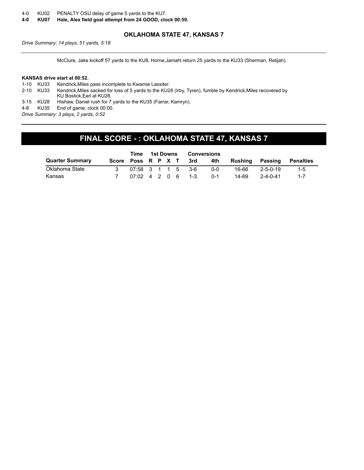- 4-0 KU02 PENALTY OSU delay of game 5 yards to the KU7.
- **4-0 KU07 Hale, Alex field goal attempt from 24 GOOD, clock 00:59.**

# **OKLAHOMA STATE 47, KANSAS 7**

*Drive Summary: 14 plays, 51 yards, 5:18*

McClure, Jake kickoff 57 yards to the KU8, Horne,Jamahl return 25 yards to the KU33 (Sherman, Relijah).

### **KANSAS drive start at 00:52.**

1-10 KU33 Kendrick,Miles pass incomplete to Kwamie Lassiter. 2-10 KU33 Kendrick,Miles sacked for loss of 5 yards to the KU28 (Irby, Tyren), fumble by Kendrick,Miles recovered by KU Bostick,Earl at KU28. 3-15 KU28 Hishaw, Daniel rush for 7 yards to the KU35 (Farrar, Kamryn). 4-8 KU35 End of game, clock 00:00. *Drive Summary: 3 plays, 2 yards, 0:52*

# **FINAL SCORE - : OKLAHOMA STATE 47, KANSAS 7**

|                        | Time |                     |  | 1st Downs |     | <b>Conversions</b> |         |                  |           |
|------------------------|------|---------------------|--|-----------|-----|--------------------|---------|------------------|-----------|
| <b>Quarter Summary</b> |      | Score Poss R P X T  |  |           | 3rd | 4th                | Rushing | Passing          | Penalties |
| Oklahoma State         |      | 07:58 3 1 1 5 3-6   |  |           |     | 0-0                | 16-66   | $2 - 5 - 0 - 19$ | 1-5       |
| Kansas                 |      | $07:02$ 4 2 0 6 1-3 |  |           |     | $0 - 1$            | 14-69   | $2 - 4 - 0 - 41$ | $1 - 7$   |